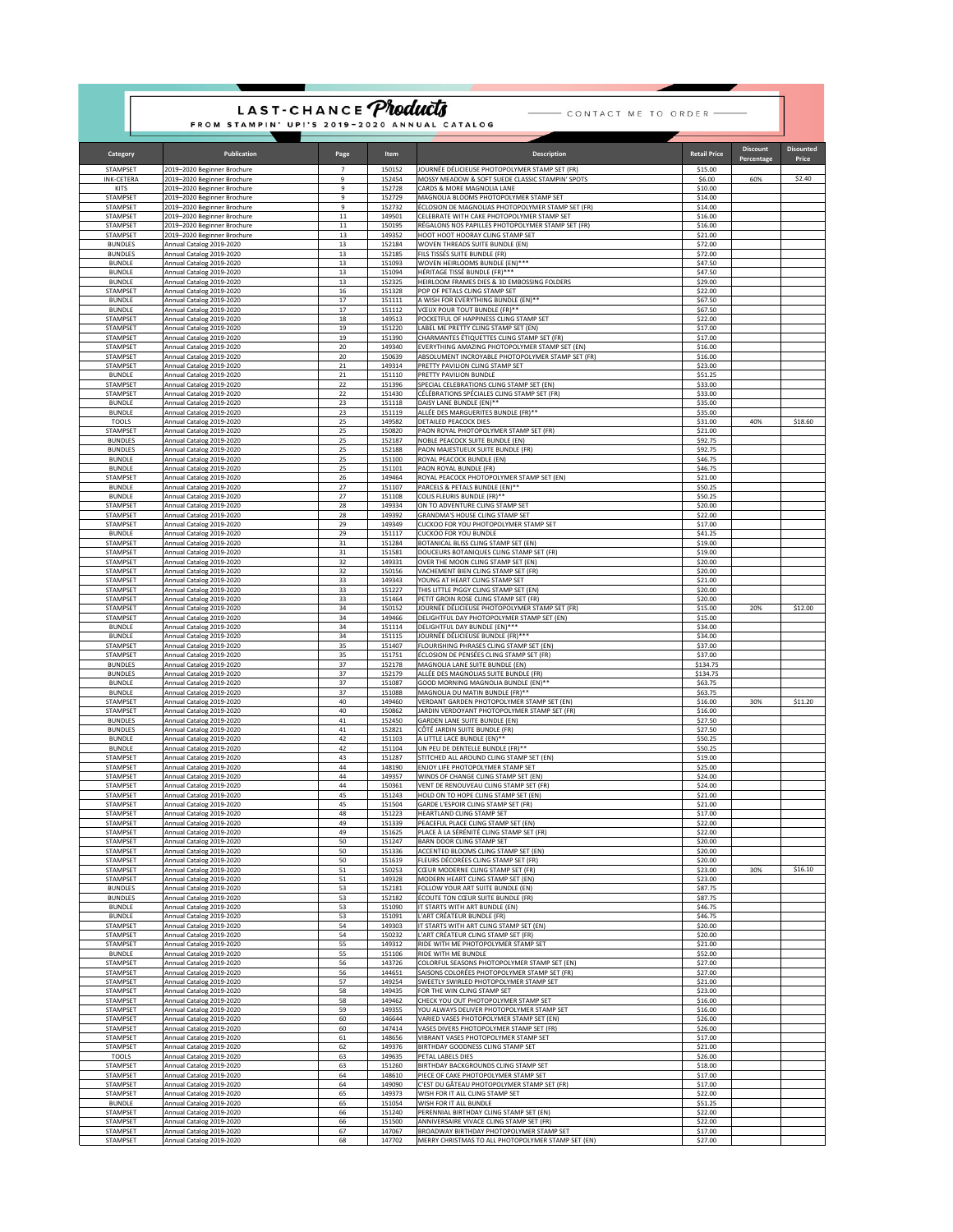|                                  | FROM STAMPIN' UP!'S 2019-2020 ANNUAL CATALOG               | LAST-CHANCE Products |                  | - CONTACT ME TO ORDER -                                                                      |                     |                               |                           |
|----------------------------------|------------------------------------------------------------|----------------------|------------------|----------------------------------------------------------------------------------------------|---------------------|-------------------------------|---------------------------|
| Category                         | Publication                                                | Page                 | Item             | <b>Description</b>                                                                           | <b>Retail Price</b> | <b>Discount</b><br>Percentage | <b>Disounted</b><br>Price |
| STAMPSET                         | 2019–2020 Beginner Brochure                                | $\overline{7}$       | 150152           | IOURNÉE DÉLICIEUSE PHOTOPOLYMER STAMP SET (FR)                                               | \$15.00             |                               |                           |
| INK-CFTFRA<br><b>KITS</b>        | 2019–2020 Beginner Brochure<br>2019–2020 Beginner Brochure | 9<br>9               | 152454<br>152728 | MOSSY MEADOW & SOFT SUEDE CLASSIC STAMPIN' SPOTS<br>CARDS & MORE MAGNOLIA LANE               | \$6.00<br>\$10.00   | 60%                           | \$2.40                    |
| STAMPSET<br>STAMPSET             | 2019–2020 Beginner Brochure<br>2019-2020 Beginner Brochure | 9<br>9               | 152729<br>152732 | MAGNOLIA BLOOMS PHOTOPOLYMER STAMP SET<br>ÉCLOSION DE MAGNOLIAS PHOTOPOLYMER STAMP SET (FR)  | \$14.00<br>\$14.00  |                               |                           |
| STAMPSET                         | 2019-2020 Beginner Brochure                                | $11\,$               | 149501           | CELEBRATE WITH CAKE PHOTOPOLYMER STAMP SET                                                   | \$16.00             |                               |                           |
| STAMPSET<br>STAMPSET             | 2019-2020 Beginner Brochure<br>2019-2020 Beginner Brochure | $11\,$<br>13         | 150195<br>149352 | RÉGALONS NOS PAPILLES PHOTOPOLYMER STAMP SET (FR)<br>HOOT HOOT HOORAY CLING STAMP SET        | \$16.00<br>\$21.00  |                               |                           |
| <b>BUNDLES</b><br><b>BUNDLES</b> | Annual Catalog 2019-2020<br>Annual Catalog 2019-2020       | 13<br>13             | 152184<br>152185 | WOVEN THREADS SUITE BUNDLE (EN)<br>FILS TISSÉS SUITE BUNDLE (FR)                             | \$72.00<br>\$72.00  |                               |                           |
| <b>BUNDLE</b>                    | Annual Catalog 2019-2020                                   | 13                   | 151093           | WOVEN HEIRLOOMS BUNDLE (EN)***                                                               | \$47.50             |                               |                           |
| <b>BUNDLE</b><br><b>BUNDLE</b>   | Annual Catalog 2019-2020<br>Annual Catalog 2019-2020       | 13<br>13             | 151094<br>152325 | HÉRITAGE TISSÉ BUNDLE (FR)***<br>HEIRLOOM FRAMES DIES & 3D EMBOSSING FOLDERS                 | \$47.50<br>\$29.00  |                               |                           |
| STAMPSET<br><b>BUNDLE</b>        | Annual Catalog 2019-2020<br>Annual Catalog 2019-2020       | 16<br>17             | 151328<br>151111 | POP OF PETALS CLING STAMP SET<br>A WISH FOR EVERYTHING BUNDLE (EN)**                         | \$22.00<br>\$67.50  |                               |                           |
| <b>BUNDLE</b>                    | Annual Catalog 2019-2020                                   | 17                   | 151112           | VŒUX POUR TOUT BUNDLE (FR)**                                                                 | \$67.50             |                               |                           |
| STAMPSET<br>STAMPSET             | Annual Catalog 2019-2020<br>Annual Catalog 2019-2020       | 18<br>19             | 149513<br>151220 | POCKETFUL OF HAPPINESS CLING STAMP SET<br>LABEL ME PRETTY CLING STAMP SET (EN)               | \$22.00<br>\$17.00  |                               |                           |
| STAMPSET<br>STAMPSET             | Annual Catalog 2019-2020                                   | 19<br>20             | 151390<br>149340 | CHARMANTES ÉTIQUETTES CLING STAMP SET (FR)<br>EVERYTHING AMAZING PHOTOPOLYMER STAMP SET (EN) | \$17.00<br>\$16.00  |                               |                           |
| STAMPSET                         | Annual Catalog 2019-2020<br>Annual Catalog 2019-2020       | 20                   | 150639           | ABSOLUMENT INCROYABLE PHOTOPOLYMER STAMP SET (FR)                                            | \$16.00             |                               |                           |
| STAMPSET<br><b>BUNDLE</b>        | Annual Catalog 2019-2020<br>Annual Catalog 2019-2020       | 21<br>21             | 149314<br>151110 | PRETTY PAVILION CLING STAMP SET<br>PRETTY PAVILION BUNDLE                                    | \$23.00<br>\$51.25  |                               |                           |
| STAMPSET<br>STAMPSET             | Annual Catalog 2019-2020                                   | 22                   | 151396           | SPECIAL CELEBRATIONS CLING STAMP SET (EN)                                                    | \$33.00             |                               |                           |
| <b>BUNDLE</b>                    | Annual Catalog 2019-2020<br>Annual Catalog 2019-2020       | 22<br>23             | 151430<br>151118 | CÉLÉBRATIONS SPÉCIALES CLING STAMP SET (FR)<br>DAISY LANE BUNDLE (EN)**                      | \$33.00<br>\$35.00  |                               |                           |
| <b>BUNDLE</b><br><b>TOOLS</b>    | Annual Catalog 2019-2020<br>Annual Catalog 2019-2020       | 23<br>25             | 151119<br>149582 | ALLÉE DES MARGUERITES BUNDLE (FR)**<br>DETAILED PEACOCK DIES                                 | \$35.00<br>\$31.00  | 40%                           | \$18.60                   |
| STAMPSET                         | Annual Catalog 2019-2020                                   | 25                   | 150820           | PAON ROYAL PHOTOPOLYMER STAMP SET (FR)                                                       | \$21.00             |                               |                           |
| <b>BUNDLES</b><br><b>BUNDLES</b> | Annual Catalog 2019-2020<br>Annual Catalog 2019-2020       | 25<br>25             | 152187<br>152188 | NOBLE PEACOCK SUITE BUNDLE (EN)<br>PAON MAJESTUEUX SUITE BUNDLE (FR)                         | \$92.75<br>\$92.75  |                               |                           |
| <b>BUNDLE</b><br><b>BUNDLE</b>   | Annual Catalog 2019-2020<br>Annual Catalog 2019-2020       | 25<br>25             | 151100<br>151101 | ROYAL PEACOCK BUNDLE (EN)<br>PAON ROYAL BUNDLE (FR)                                          | \$46.75<br>\$46.75  |                               |                           |
| STAMPSET                         | Annual Catalog 2019-2020                                   | 26                   | 149464           | ROYAL PEACOCK PHOTOPOLYMER STAMP SET (EN)                                                    | \$21.00             |                               |                           |
| <b>BUNDLE</b><br><b>BUNDLE</b>   | Annual Catalog 2019-2020<br>Annual Catalog 2019-2020       | 27<br>27             | 151107<br>151108 | PARCELS & PETALS BUNDLE (EN)**<br>COLIS FLEURIS BUNDLE (FR)**                                | \$50.25<br>\$50.25  |                               |                           |
| STAMPSET<br>STAMPSET             | Annual Catalog 2019-2020<br>Annual Catalog 2019-2020       | 28<br>28             | 149334<br>149392 | ON TO ADVENTURE CLING STAMP SET<br>GRANDMA'S HOUSE CLING STAMP SET                           | \$20.00<br>\$22.00  |                               |                           |
| STAMPSET                         | Annual Catalog 2019-2020                                   | 29                   | 149349           | CUCKOO FOR YOU PHOTOPOLYMER STAMP SET                                                        | \$17.00             |                               |                           |
| <b>BUNDLE</b><br>STAMPSET        | Annual Catalog 2019-2020<br>Annual Catalog 2019-2020       | 29<br>31             | 151117<br>151284 | CUCKOO FOR YOU BUNDLE<br>BOTANICAL BLISS CLING STAMP SET (EN)                                | \$41.25<br>\$19.00  |                               |                           |
| STAMPSET<br>STAMPSET             | Annual Catalog 2019-2020<br>Annual Catalog 2019-2020       | 31<br>32             | 151581<br>149331 | DOUCEURS BOTANIQUES CLING STAMP SET (FR)<br>OVER THE MOON CLING STAMP SET (EN)               | \$19.00<br>\$20.00  |                               |                           |
| STAMPSET                         | Annual Catalog 2019-2020                                   | 32                   | 150156           | VACHEMENT BIEN CLING STAMP SET (FR)                                                          | \$20.00             |                               |                           |
| STAMPSET<br>STAMPSET             | Annual Catalog 2019-2020<br>Annual Catalog 2019-2020       | 33<br>33             | 149343<br>151227 | YOUNG AT HEART CLING STAMP SET<br>THIS LITTLE PIGGY CLING STAMP SET (EN)                     | \$21.00<br>\$20.00  |                               |                           |
| STAMPSET<br>STAMPSET             | Annual Catalog 2019-2020<br>Annual Catalog 2019-2020       | 33<br>34             | 151464<br>150152 | PETIT GROIN ROSE CLING STAMP SET (FR)<br>JOURNÉE DÉLICIEUSE PHOTOPOLYMER STAMP SET (FR)      | \$20.00<br>\$15.00  | 20%                           | \$12.00                   |
| STAMPSET                         | Annual Catalog 2019-2020                                   | 34                   | 149466           | DELIGHTFUL DAY PHOTOPOLYMER STAMP SET (EN)                                                   | \$15.00             |                               |                           |
| <b>BUNDLE</b><br><b>BUNDLE</b>   | Annual Catalog 2019-2020<br>Annual Catalog 2019-2020       | 34<br>34             | 151114<br>151115 | DELIGHTFUL DAY BUNDLE (EN)***<br>JOURNÉE DÉLICIEUSE BUNDLE (FR)***                           | \$34.00<br>\$34.00  |                               |                           |
| STAMPSET<br>STAMPSET             | Annual Catalog 2019-2020<br>Annual Catalog 2019-2020       | 35<br>35             | 151407<br>151751 | FLOURISHING PHRASES CLING STAMP SET (EN)<br>ÉCLOSION DE PENSÉES CLING STAMP SET (FR)         | \$37.00<br>\$37.00  |                               |                           |
| <b>BUNDLES</b>                   | Annual Catalog 2019-2020                                   | 37                   | 152178           | MAGNOLIA LANE SUITE BUNDLE (EN)                                                              | \$134.75            |                               |                           |
| <b>BUNDLES</b><br><b>BUNDLE</b>  | Annual Catalog 2019-2020<br>Annual Catalog 2019-2020       | 37<br>37             | 152179<br>151087 | ALLÉE DES MAGNOLIAS SUITE BUNDLE (FR)<br>GOOD MORNING MAGNOLIA BUNDLE (EN)**                 | \$134.75<br>\$63.75 |                               |                           |
| <b>BUNDLE</b><br>STAMPSET        | Annual Catalog 2019-2020<br>Annual Catalog 2019-2020       | 37<br>40             | 151088<br>149460 | MAGNOLIA DU MATIN BUNDLE (FR)**<br>VERDANT GARDEN PHOTOPOLYMER STAMP SET (EN)                | \$63.75<br>\$16.00  | 30%                           | \$11.20                   |
| STAMPSET                         | Annual Catalog 2019-2020                                   | 40                   | 150862           | JARDIN VERDOYANT PHOTOPOLYMER STAMP SET (FR)                                                 | \$16.00             |                               |                           |
| <b>BUNDLES</b><br><b>BUNDLES</b> | Annual Catalog 2019-2020<br>Annual Catalog 2019-2020       | 41<br>41             | 152450<br>152821 | GARDEN LANE SUITE BUNDLE (EN)<br>CÔTÉ JARDIN SUITE BUNDLE (FR)                               | \$27.50<br>\$27.50  |                               |                           |
| <b>BUNDLE</b><br><b>BUNDLE</b>   | Annual Catalog 2019-2020<br>Annual Catalog 2019-2020       | 42<br>42             | 151103<br>151104 | A LITTLE LACE BUNDLE (EN)**<br>UN PEU DE DENTELLE BUNDLE (FR)**                              | \$50.25<br>\$50.25  |                               |                           |
| STAMPSET                         | Annual Catalog 2019-2020                                   | 43                   | 151287           | STITCHED ALL AROUND CLING STAMP SET (EN)                                                     | \$19.00             |                               |                           |
| <b>STAMPSFT</b><br>STAMPSET      | Annual Catalog 2019-2020<br>Annual Catalog 2019-2020       | 44<br>44             | 148190<br>149357 | ENJOY LIFE PHOTOPOLYMER STAMP SET<br>WINDS OF CHANGE CLING STAMP SET (EN)                    | \$25.00<br>\$24.00  |                               |                           |
| STAMPSET<br>STAMPSET             | Annual Catalog 2019-2020<br>Annual Catalog 2019-2020       | 44<br>45             | 150361<br>151243 | VENT DE RENOUVEAU CLING STAMP SET (FR)<br>HOLD ON TO HOPE CLING STAMP SET (EN)               | \$24.00<br>\$21.00  |                               |                           |
| STAMPSET                         | Annual Catalog 2019-2020                                   | 45                   | 151504           | GARDE L'ESPOIR CLING STAMP SET (FR)                                                          | \$21.00             |                               |                           |
| STAMPSET<br>STAMPSET             | Annual Catalog 2019-2020<br>Annual Catalog 2019-2020       | 48<br>49             | 151223<br>151339 | HEARTLAND CLING STAMP SET<br>PEACEFUL PLACE CLING STAMP SET (EN)                             | \$17.00<br>\$22.00  |                               |                           |
| STAMPSET<br>STAMPSET             | Annual Catalog 2019-2020<br>Annual Catalog 2019-2020       | 49<br>50             | 151625<br>151247 | PLACE À LA SÉRÉNITÉ CLING STAMP SET (FR)<br>BARN DOOR CLING STAMP SET                        | \$22.00<br>\$20.00  |                               |                           |
| STAMPSET                         | Annual Catalog 2019-2020                                   | 50                   | 151336           | ACCENTED BLOOMS CLING STAMP SET (EN)                                                         | \$20.00             |                               |                           |
| STAMPSET<br>STAMPSET             | Annual Catalog 2019-2020<br>Annual Catalog 2019-2020       | 50<br>51             | 151619<br>150253 | FLEURS DÉCORÉES CLING STAMP SET (FR)<br>CŒUR MODERNE CLING STAMP SET (FR)                    | \$20.00<br>\$23.00  | 30%                           | \$16.10                   |
| STAMPSET<br><b>BUNDLES</b>       | Annual Catalog 2019-2020                                   | 51<br>53             | 149328<br>152181 | MODERN HEART CLING STAMP SET (EN)<br>FOLLOW YOUR ART SUITE BUNDLE (EN)                       | \$23.00<br>\$87.75  |                               |                           |
| <b>BUNDLES</b>                   | Annual Catalog 2019-2020<br>Annual Catalog 2019-2020       | 53                   | 152182           | ÉCOUTE TON CŒUR SUITE BUNDLE (FR)                                                            | \$87.75             |                               |                           |
| <b>BUNDLE</b><br><b>BUNDLE</b>   | Annual Catalog 2019-2020<br>Annual Catalog 2019-2020       | 53<br>53             | 151090<br>151091 | IT STARTS WITH ART BUNDLE (EN)<br>L'ART CRÉATEUR BUNDLE (FR)                                 | \$46.75<br>\$46.75  |                               |                           |
| STAMPSET<br>STAMPSET             | Annual Catalog 2019-2020                                   | 54                   | 149303           | IT STARTS WITH ART CLING STAMP SET (EN)<br>L'ART CRÉATEUR CLING STAMP SET (FR)               | \$20.00             |                               |                           |
| STAMPSET                         | Annual Catalog 2019-2020<br>Annual Catalog 2019-2020       | 54<br>55             | 150232<br>149312 | RIDE WITH ME PHOTOPOLYMER STAMP SET                                                          | \$20.00<br>\$21.00  |                               |                           |
| <b>BUNDLE</b><br>STAMPSET        | Annual Catalog 2019-2020<br>Annual Catalog 2019-2020       | 55<br>56             | 151106<br>143726 | RIDE WITH ME BUNDLE<br>COLORFUL SEASONS PHOTOPOLYMER STAMP SET (EN)                          | \$52.00<br>\$27.00  |                               |                           |
| STAMPSET                         | Annual Catalog 2019-2020                                   | 56                   | 144651           | SAISONS COLORÉES PHOTOPOLYMER STAMP SET (FR)                                                 | \$27.00             |                               |                           |
| STAMPSET<br>STAMPSET             | Annual Catalog 2019-2020<br>Annual Catalog 2019-2020       | 57<br>58             | 149254<br>149435 | SWEETLY SWIRLED PHOTOPOLYMER STAMP SET<br>FOR THE WIN CLING STAMP SET                        | \$21.00<br>\$23.00  |                               |                           |
| STAMPSET<br>STAMPSET             | Annual Catalog 2019-2020<br>Annual Catalog 2019-2020       | 58<br>59             | 149462<br>149355 | CHECK YOU OUT PHOTOPOLYMER STAMP SET<br>YOU ALWAYS DELIVER PHOTOPOLYMER STAMP SET            | \$16.00<br>\$16.00  |                               |                           |
| STAMPSET                         | Annual Catalog 2019-2020                                   | 60                   | 146644           | VARIED VASES PHOTOPOLYMER STAMP SET (EN)                                                     | \$26.00             |                               |                           |
| STAMPSET<br>STAMPSET             | Annual Catalog 2019-2020<br>Annual Catalog 2019-2020       | 60<br>61             | 147414<br>148656 | VASES DIVERS PHOTOPOLYMER STAMP SET (FR)<br>VIBRANT VASES PHOTOPOLYMER STAMP SET             | \$26.00<br>\$17.00  |                               |                           |
| STAMPSET<br><b>TOOLS</b>         | Annual Catalog 2019-2020<br>Annual Catalog 2019-2020       | 62<br>63             | 149376<br>149635 | BIRTHDAY GOODNESS CLING STAMP SET<br>PETAL LABELS DIES                                       | \$21.00<br>\$26.00  |                               |                           |
| STAMPSET                         | Annual Catalog 2019-2020                                   | 63                   | 151260           | BIRTHDAY BACKGROUNDS CLING STAMP SET                                                         | \$18.00             |                               |                           |
| STAMPSET<br>STAMPSET             | Annual Catalog 2019-2020<br>Annual Catalog 2019-2020       | 64<br>64             | 148610<br>149090 | PIECE OF CAKE PHOTOPOLYMER STAMP SET<br>C'EST DU GÂTEAU PHOTOPOLYMER STAMP SET (FR)          | \$17.00<br>\$17.00  |                               |                           |
| STAMPSET                         | Annual Catalog 2019-2020                                   | 65                   | 149373           | WISH FOR IT ALL CLING STAMP SET                                                              | \$22.00             |                               |                           |
| <b>BUNDLE</b><br>STAMPSET        | Annual Catalog 2019-2020<br>Annual Catalog 2019-2020       | 65<br>66             | 151054<br>151240 | WISH FOR IT ALL BUNDLE<br>PERENNIAL BIRTHDAY CLING STAMP SET (EN)                            | \$51.25<br>\$22.00  |                               |                           |
| STAMPSET<br>STAMPSET             | Annual Catalog 2019-2020<br>Annual Catalog 2019-2020       | 66<br>67             | 151500<br>147067 | ANNIVERSAIRE VIVACE CLING STAMP SET (FR)<br>BROADWAY BIRTHDAY PHOTOPOLYMER STAMP SET         | \$22.00<br>\$17.00  |                               |                           |
| STAMPSET                         | Annual Catalog 2019-2020                                   | 68                   | 147702           | MERRY CHRISTMAS TO ALL PHOTOPOLYMER STAMP SET (EN)                                           | \$27.00             |                               |                           |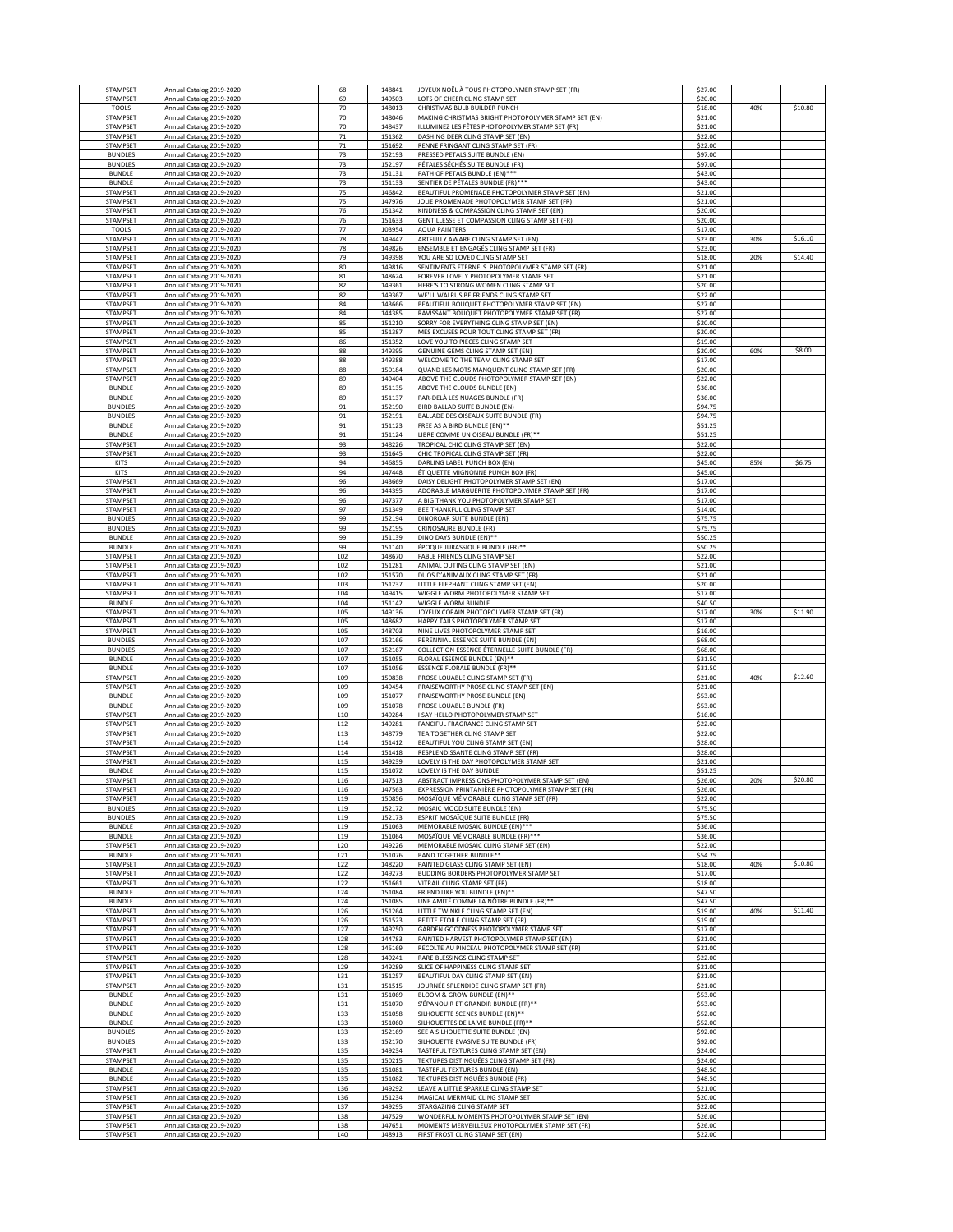| STAMPSET                         | Annual Catalog 2019-2020                             | 68         | 148841           | JOYEUX NOËL À TOUS PHOTOPOLYMER STAMP SET (FR)                                                 | \$27.00            |     |         |
|----------------------------------|------------------------------------------------------|------------|------------------|------------------------------------------------------------------------------------------------|--------------------|-----|---------|
| STAMPSET<br><b>TOOLS</b>         | Annual Catalog 2019-2020<br>Annual Catalog 2019-2020 | 69<br>70   | 149503<br>148013 | OTS OF CHEER CLING STAMP SET<br>CHRISTMAS BULB BUILDER PUNCH                                   | \$20.00<br>\$18.00 | 40% | \$10.80 |
| STAMPSET                         | Annual Catalog 2019-2020                             | 70         | 148046           | MAKING CHRISTMAS BRIGHT PHOTOPOLYMER STAMP SET (EN)                                            | \$21.00            |     |         |
| STAMPSET<br>STAMPSET             | Annual Catalog 2019-2020<br>Annual Catalog 2019-2020 | 70<br>71   | 148437<br>151362 | LLUMINEZ LES FÊTES PHOTOPOLYMER STAMP SET (FR)<br>DASHING DEER CLING STAMP SET (EN)            | \$21.00<br>\$22.00 |     |         |
| STAMPSET                         | Annual Catalog 2019-2020                             | 71         | 151692           | RENNE FRINGANT CLING STAMP SET (FR)                                                            | \$22.00            |     |         |
| <b>BUNDLES</b><br><b>BUNDLES</b> | Annual Catalog 2019-2020<br>Annual Catalog 2019-2020 | 73<br>73   | 152193<br>152197 | PRESSED PETALS SUITE BUNDLE (EN)<br>PÉTALES SÉCHÉS SUITE BUNDLE (FR)                           | \$97.00<br>\$97.00 |     |         |
| <b>BUNDLE</b>                    | Annual Catalog 2019-2020                             | 73         | 151131           | PATH OF PETALS BUNDLE (EN)***                                                                  | \$43.00            |     |         |
| <b>BUNDLE</b><br>STAMPSET        | Annual Catalog 2019-2020<br>Annual Catalog 2019-2020 | 73<br>75   | 151133<br>146842 | SENTIER DE PÉTALES BUNDLE (FR)***<br>BEAUTIFUL PROMENADE PHOTOPOLYMER STAMP SET (EN)           | \$43.00<br>\$21.00 |     |         |
| STAMPSET                         | Annual Catalog 2019-2020                             | 75         | 147976           | JOLIE PROMENADE PHOTOPOLYMER STAMP SET (FR)                                                    | \$21.00            |     |         |
| STAMPSET<br>STAMPSET             | Annual Catalog 2019-2020<br>Annual Catalog 2019-2020 | 76<br>76   | 151342<br>151633 | KINDNESS & COMPASSION CLING STAMP SET (EN)<br>GENTILLESSE ET COMPASSION CLING STAMP SET (FR)   | \$20.00<br>\$20.00 |     |         |
| <b>TOOLS</b>                     | Annual Catalog 2019-2020                             | 77         | 103954           | <b>AQUA PAINTERS</b>                                                                           | \$17.00            |     |         |
| STAMPSET                         | Annual Catalog 2019-2020                             | 78         | 149447           | ARTFULLY AWARE CLING STAMP SET (EN)                                                            | \$23.00            | 30% | \$16.10 |
| STAMPSET<br>STAMPSET             | Annual Catalog 2019-2020<br>Annual Catalog 2019-2020 | 78<br>79   | 149826<br>149398 | ENSEMBLE ET ENGAGÉS CLING STAMP SET (FR)<br>YOU ARE SO LOVED CLING STAMP SET                   | \$23.00<br>\$18.00 | 20% | \$14.40 |
| STAMPSET                         | Annual Catalog 2019-2020                             | 80         | 149816           | SENTIMENTS ÉTERNELS PHOTOPOLYMER STAMP SET (FR)                                                | \$21.00            |     |         |
| STAMPSET<br>STAMPSET             | Annual Catalog 2019-2020<br>Annual Catalog 2019-2020 | 81<br>82   | 148624<br>149361 | FOREVER LOVELY PHOTOPOLYMER STAMP SET<br>HERE'S TO STRONG WOMEN CLING STAMP SET                | \$21.00<br>\$20.00 |     |         |
| STAMPSET                         | Annual Catalog 2019-2020                             | 82         | 149367           | WE'LL WALRUS BE FRIENDS CLING STAMP SET                                                        | \$22.00            |     |         |
| STAMPSET<br>STAMPSET             | Annual Catalog 2019-2020<br>Annual Catalog 2019-2020 | 84<br>84   | 143666<br>144385 | BEAUTIFUL BOUQUET PHOTOPOLYMER STAMP SET (EN)<br>RAVISSANT BOUQUET PHOTOPOLYMER STAMP SET (FR) | \$27.00<br>\$27.00 |     |         |
| STAMPSET                         | Annual Catalog 2019-2020                             | 85         | 151210           | SORRY FOR EVERYTHING CLING STAMP SET (EN)                                                      | \$20.00            |     |         |
| STAMPSET                         | Annual Catalog 2019-2020                             | 85         | 151387           | MES EXCUSES POUR TOUT CLING STAMP SET (FR)                                                     | \$20.00            |     |         |
| STAMPSET<br>STAMPSET             | Annual Catalog 2019-2020<br>Annual Catalog 2019-2020 | 86<br>88   | 151352<br>149395 | LOVE YOU TO PIECES CLING STAMP SET<br>GENUINE GEMS CLING STAMP SET (EN)                        | \$19.00<br>\$20.00 | 60% | \$8.00  |
| STAMPSET                         | Annual Catalog 2019-2020                             | 88         | 149388           | WELCOME TO THE TEAM CLING STAMP SET                                                            | \$17.00            |     |         |
| STAMPSET<br>STAMPSET             | Annual Catalog 2019-2020<br>Annual Catalog 2019-2020 | 88<br>89   | 150184<br>149404 | QUAND LES MOTS MANQUENT CLING STAMP SET (FR)<br>ABOVE THE CLOUDS PHOTOPOLYMER STAMP SET (EN)   | \$20.00<br>\$22.00 |     |         |
| <b>BUNDLE</b>                    | Annual Catalog 2019-2020                             | 89         | 151135           | ABOVE THE CLOUDS BUNDLE (EN)                                                                   | \$36.00            |     |         |
| <b>BUNDLE</b><br><b>BUNDLES</b>  | Annual Catalog 2019-2020<br>Annual Catalog 2019-2020 | 89<br>91   | 151137<br>152190 | PAR-DELÀ LES NUAGES BUNDLE (FR)<br><b>BIRD BALLAD SUITE BUNDLE (EN)</b>                        | \$36.00<br>\$94.75 |     |         |
| <b>BUNDLES</b>                   | Annual Catalog 2019-2020                             | 91         | 152191           | BALLADE DES OISEAUX SUITE BUNDLE (FR)                                                          | \$94.75            |     |         |
| <b>BUNDLE</b><br><b>BUNDLE</b>   | Annual Catalog 2019-2020<br>Annual Catalog 2019-2020 | 91<br>91   | 151123<br>151124 | FREE AS A BIRD BUNDLE (EN)**<br>LIBRE COMME UN OISEAU BUNDLE (FR)**                            | \$51.25<br>\$51.25 |     |         |
| STAMPSET                         | Annual Catalog 2019-2020                             | 93         | 148226           | TROPICAL CHIC CLING STAMP SET (EN)                                                             | \$22.00            |     |         |
| STAMPSET                         | Annual Catalog 2019-2020                             | 93         | 151645           | CHIC TROPICAL CLING STAMP SET (FR)                                                             | \$22.00            |     |         |
| <b>KITS</b><br><b>KITS</b>       | Annual Catalog 2019-2020<br>Annual Catalog 2019-2020 | 94<br>94   | 146855<br>147448 | DARLING LABEL PUNCH BOX (EN)<br>ÉTIQUETTE MIGNONNE PUNCH BOX (FR)                              | \$45.00<br>\$45.00 | 85% | \$6.75  |
| STAMPSET                         | Annual Catalog 2019-2020                             | 96         | 143669           | DAISY DELIGHT PHOTOPOLYMER STAMP SET (EN)                                                      | \$17.00            |     |         |
| STAMPSET<br>STAMPSET             | Annual Catalog 2019-2020<br>Annual Catalog 2019-2020 | 96<br>96   | 144395<br>147377 | ADORABLE MARGUERITE PHOTOPOLYMER STAMP SET (FR)<br>A BIG THANK YOU PHOTOPOLYMER STAMP SET      | \$17.00<br>\$17.00 |     |         |
| STAMPSET                         | Annual Catalog 2019-2020                             | 97         | 151349           | BEE THANKFUL CLING STAMP SET                                                                   | \$14.00            |     |         |
| <b>BUNDLES</b><br><b>BUNDLES</b> | Annual Catalog 2019-2020<br>Annual Catalog 2019-2020 | 99<br>99   | 152194<br>152195 | DINOROAR SUITE BUNDLE (EN)<br>CRINOSAURE BUNDLE (FR)                                           | \$75.75<br>\$75.75 |     |         |
| <b>BUNDLE</b>                    | Annual Catalog 2019-2020                             | 99         | 151139           | DINO DAYS BUNDLE (EN)**                                                                        | \$50.25            |     |         |
| <b>BUNDLE</b>                    | Annual Catalog 2019-2020                             | 99         | 151140           | ÉPOQUE JURASSIQUE BUNDLE (FR)**                                                                | \$50.25            |     |         |
| STAMPSET<br>STAMPSET             | Annual Catalog 2019-2020<br>Annual Catalog 2019-2020 | 102<br>102 | 148670<br>151281 | FABLE FRIENDS CLING STAMP SET<br>ANIMAL OUTING CLING STAMP SET (EN)                            | \$22.00<br>\$21.00 |     |         |
| STAMPSET                         | Annual Catalog 2019-2020                             | 102        | 151570           | DUOS D'ANIMAUX CLING STAMP SET (FR)                                                            | \$21.00            |     |         |
| STAMPSET<br>STAMPSET             | Annual Catalog 2019-2020<br>Annual Catalog 2019-2020 | 103<br>104 | 151237<br>149415 | LITTLE ELEPHANT CLING STAMP SET (EN)<br>WIGGLE WORM PHOTOPOLYMER STAMP SET                     | \$20.00<br>\$17.00 |     |         |
| <b>BUNDLE</b>                    | Annual Catalog 2019-2020                             | 104        | 151142           | WIGGLE WORM BUNDLE                                                                             | \$40.50            |     |         |
| STAMPSET<br>STAMPSET             | Annual Catalog 2019-2020<br>Annual Catalog 2019-2020 | 105<br>105 | 149136<br>148682 | JOYEUX COPAIN PHOTOPOLYMER STAMP SET (FR)<br>HAPPY TAILS PHOTOPOLYMER STAMP SET                | \$17.00<br>\$17.00 | 30% | \$11.90 |
| STAMPSET                         | Annual Catalog 2019-2020                             | 105        | 148703           | NINE LIVES PHOTOPOLYMER STAMP SET                                                              | \$16.00            |     |         |
| <b>BUNDLES</b><br><b>BUNDLES</b> | Annual Catalog 2019-2020<br>Annual Catalog 2019-2020 | 107<br>107 | 152166<br>152167 | PERENNIAL ESSENCE SUITE BUNDLE (EN)<br>COLLECTION ESSENCE ÉTERNELLE SUITE BUNDLE (FR)          | \$68.00<br>\$68.00 |     |         |
| <b>BUNDLE</b>                    | Annual Catalog 2019-2020                             | 107        | 151055           | FLORAL ESSENCE BUNDLE (EN)**                                                                   | \$31.50            |     |         |
| <b>BUNDLE</b><br>STAMPSET        | Annual Catalog 2019-2020                             | 107<br>109 | 151056<br>150838 | <b>ESSENCE FLORALE BUNDLE (FR)**</b>                                                           | \$31.50<br>\$21.00 | 40% | \$12.60 |
| STAMPSET                         | Annual Catalog 2019-2020<br>Annual Catalog 2019-2020 | 109        | 149454           | PROSE LOUABLE CLING STAMP SET (FR)<br>PRAISEWORTHY PROSE CLING STAMP SET (EN)                  | \$21.00            |     |         |
| <b>BUNDLE</b>                    | Annual Catalog 2019-2020                             | 109        | 151077           | PRAISEWORTHY PROSE BUNDLE (EN)                                                                 | \$53.00            |     |         |
| <b>BUNDLE</b><br>STAMPSET        | Annual Catalog 2019-2020<br>Annual Catalog 2019-2020 | 109<br>110 | 151078<br>149284 | PROSE LOUABLE BUNDLE (FR)<br>SAY HELLO PHOTOPOLYMER STAMP SET                                  | \$53.00<br>\$16.00 |     |         |
| STAMPSET                         | Annual Catalog 2019-2020                             | 112        | 149281           | FANCIFUL FRAGRANCE CLING STAMP SET                                                             | \$22.00            |     |         |
| STAMPSET<br>STAMPSET             | Annual Catalog 2019-2020<br>Annual Catalog 2019-2020 | 113<br>114 | 148779<br>151412 | TEA TOGETHER CLING STAMP SET<br>BEAUTIFUL YOU CLING STAMP SET (EN)                             | \$22.00<br>\$28.00 |     |         |
| STAMPSET                         | Annual Catalog 2019-2020                             | 114        | 151418           | RESPLENDISSANTE CLING STAMP SET (FR)                                                           | \$28.00            |     |         |
| STAMPSET<br><b>BUNDLE</b>        | Annual Catalog 2019-2020<br>Annual Catalog 2019-2020 | 115<br>115 | 149239<br>151072 | LOVELY IS THE DAY PHOTOPOLYMER STAMP SET<br>LOVELY IS THE DAY BUNDLE                           | \$21.00<br>\$51.25 |     |         |
| CTAMPCET                         | Annual Catalog 2019-2020                             | 116        | 147513           | ARSTRACT IMPRESSIONS PHOTOPOLYMER STAMP SET (EN)                                               | \$26.00            | 20% | \$20.80 |
| STAMPSET<br>STAMPSET             | Annual Catalog 2019-2020                             | 116<br>119 | 147563<br>150856 | EXPRESSION PRINTANIÈRE PHOTOPOLYMER STAMP SET (FR)<br>MOSAÏQUE MÉMORABLE CLING STAMP SET (FR)  | \$26.00<br>\$22.00 |     |         |
| <b>BUNDLES</b>                   | Annual Catalog 2019-2020<br>Annual Catalog 2019-2020 | 119        | 152172           | MOSAIC MOOD SUITE BUNDLE (EN)                                                                  | \$75.50            |     |         |
| <b>BUNDLES</b>                   | Annual Catalog 2019-2020                             | 119        | 152173           | ESPRIT MOSAÏQUE SUITE BUNDLE (FR)                                                              | \$75.50            |     |         |
| <b>BUNDLE</b><br><b>BUNDLE</b>   | Annual Catalog 2019-2020<br>Annual Catalog 2019-2020 | 119<br>119 | 151063<br>151064 | MEMORABLE MOSAIC BUNDLE (EN)***<br>MOSAÏQUE MÉMORABLE BUNDLE (FR) ***                          | \$36.00<br>\$36.00 |     |         |
| STAMPSET                         | Annual Catalog 2019-2020                             | 120        | 149226           | MEMORABLE MOSAIC CLING STAMP SET (EN)                                                          | \$22.00            |     |         |
| <b>BUNDLE</b><br>STAMPSET        | Annual Catalog 2019-2020<br>Annual Catalog 2019-2020 | 121<br>122 | 151076<br>148220 | <b>BAND TOGETHER BUNDLE**</b><br>PAINTED GLASS CLING STAMP SET (EN)                            | \$54.75<br>\$18.00 | 40% | \$10.80 |
| STAMPSET                         | Annual Catalog 2019-2020                             | 122        | 149273           | BUDDING BORDERS PHOTOPOLYMER STAMP SET                                                         | \$17.00            |     |         |
| STAMPSET<br><b>BUNDLE</b>        | Annual Catalog 2019-2020<br>Annual Catalog 2019-2020 | 122<br>124 | 151661<br>151084 | VITRAIL CLING STAMP SET (FR)<br>FRIEND LIKE YOU BUNDLE (EN)**                                  | \$18.00<br>\$47.50 |     |         |
| <b>BUNDLE</b>                    | Annual Catalog 2019-2020                             | 124        | 151085           | UNE AMITÉ COMME LA NÔTRE BUNDLE (FR)**                                                         | \$47.50            |     |         |
| STAMPSET<br>STAMPSET             | Annual Catalog 2019-2020<br>Annual Catalog 2019-2020 | 126<br>126 | 151264<br>151523 | LITTLE TWINKLE CLING STAMP SET (EN)<br>PETITE ÉTOILE CLING STAMP SET (FR)                      | \$19.00<br>\$19.00 | 40% | \$11.40 |
| STAMPSET                         | Annual Catalog 2019-2020                             | 127        | 149250           | GARDEN GOODNESS PHOTOPOLYMER STAMP SET                                                         | \$17.00            |     |         |
| STAMPSET                         | Annual Catalog 2019-2020                             | 128        | 144783           | PAINTED HARVEST PHOTOPOLYMER STAMP SET (EN)<br>RÉCOLTE AU PINCEAU PHOTOPOLYMER STAMP SET (FR)  | \$21.00            |     |         |
| STAMPSET<br>STAMPSET             | Annual Catalog 2019-2020<br>Annual Catalog 2019-2020 | 128<br>128 | 145169<br>149241 | RARE BLESSINGS CLING STAMP SET                                                                 | \$21.00<br>\$22.00 |     |         |
| STAMPSET                         | Annual Catalog 2019-2020                             | 129        | 149289           | SLICE OF HAPPINESS CLING STAMP SET                                                             | \$21.00            |     |         |
| STAMPSET<br>STAMPSET             | Annual Catalog 2019-2020<br>Annual Catalog 2019-2020 | 131<br>131 | 151257<br>151515 | BEAUTIFUL DAY CLING STAMP SET (EN)<br>JOURNÉE SPLENDIDE CLING STAMP SET (FR)                   | \$21.00<br>\$21.00 |     |         |
| <b>BUNDLE</b>                    | Annual Catalog 2019-2020                             | 131        | 151069           | BLOOM & GROW BUNDLE (EN)**                                                                     | \$53.00            |     |         |
| <b>BUNDLE</b><br><b>BUNDLE</b>   | Annual Catalog 2019-2020<br>Annual Catalog 2019-2020 | 131<br>133 | 151070<br>151058 | S'ÉPANOUIR ET GRANDIR BUNDLE (FR)**<br>SILHOUETTE SCENES BUNDLE (EN)**                         | \$53.00<br>\$52.00 |     |         |
| <b>BUNDLE</b>                    | Annual Catalog 2019-2020                             | 133        | 151060           | SILHOUETTES DE LA VIE BUNDLE (FR)**                                                            | \$52.00            |     |         |
| <b>BUNDLES</b><br><b>BUNDLES</b> | Annual Catalog 2019-2020                             | 133        | 152169<br>152170 | SEE A SILHOUETTE SUITE BUNDLE (EN)<br>SILHOUETTE EVASIVE SUITE BUNDLE (FR)                     | \$92.00<br>\$92.00 |     |         |
| STAMPSET                         | Annual Catalog 2019-2020<br>Annual Catalog 2019-2020 | 133<br>135 | 149234           | TASTEFUL TEXTURES CLING STAMP SET (EN)                                                         | \$24.00            |     |         |
| STAMPSET                         | Annual Catalog 2019-2020                             | 135        | 150215           | TEXTURES DISTINGUÉES CLING STAMP SET (FR)                                                      | \$24.00            |     |         |
| <b>BUNDLE</b><br><b>BUNDLE</b>   | Annual Catalog 2019-2020<br>Annual Catalog 2019-2020 | 135<br>135 | 151081<br>151082 | TASTEFUL TEXTURES BUNDLE (EN)<br>TEXTURES DISTINGUÉES BUNDLE (FR)                              | \$48.50<br>\$48.50 |     |         |
| STAMPSET                         | Annual Catalog 2019-2020                             | 136        | 149292           | LEAVE A LITTLE SPARKLE CLING STAMP SET                                                         | \$21.00            |     |         |
| STAMPSET<br>STAMPSET             | Annual Catalog 2019-2020<br>Annual Catalog 2019-2020 | 136<br>137 | 151234<br>149295 | MAGICAL MERMAID CLING STAMP SET<br>STARGAZING CLING STAMP SET                                  | \$20.00<br>\$22.00 |     |         |
| STAMPSET                         | Annual Catalog 2019-2020                             | 138        | 147529           | WONDERFUL MOMENTS PHOTOPOLYMER STAMP SET (EN)                                                  | \$26.00            |     |         |
| STAMPSET<br>STAMPSET             | Annual Catalog 2019-2020<br>Annual Catalog 2019-2020 | 138<br>140 | 147651<br>148913 | MOMENTS MERVEILLEUX PHOTOPOLYMER STAMP SET (FR)<br>FIRST FROST CLING STAMP SET (EN)            | \$26.00<br>\$22.00 |     |         |
|                                  |                                                      |            |                  |                                                                                                |                    |     |         |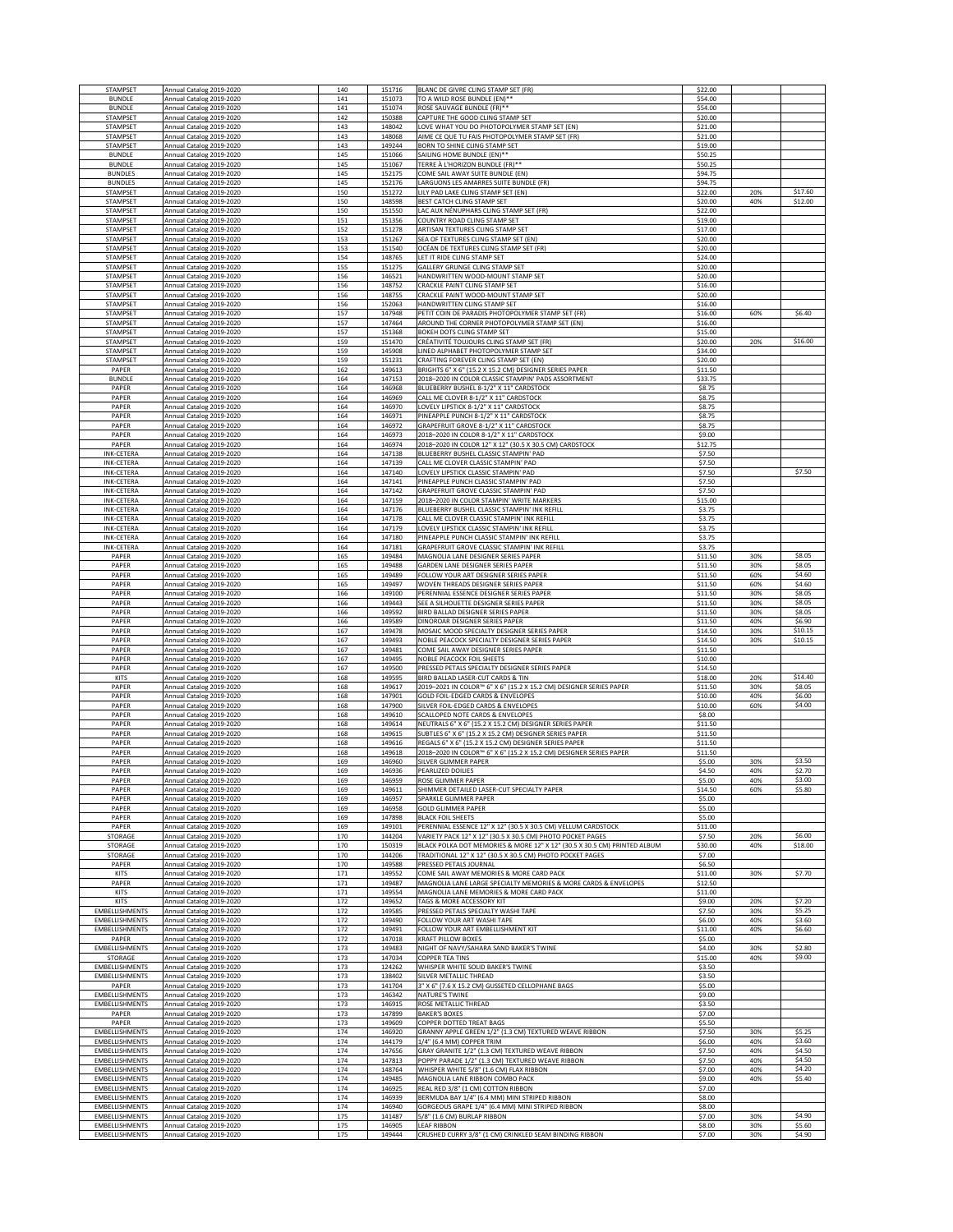| STAMPSET                                           | Annual Catalog 2019-2020                                                         | 140               | 151716           | BLANC DE GIVRE CLING STAMP SET (FR)                                                                                                   | \$22.00            |            |                    |
|----------------------------------------------------|----------------------------------------------------------------------------------|-------------------|------------------|---------------------------------------------------------------------------------------------------------------------------------------|--------------------|------------|--------------------|
| <b>BUNDLE</b><br><b>BUNDLE</b>                     | Annual Catalog 2019-2020<br>Annual Catalog 2019-2020                             | 141<br>141        | 151073<br>151074 | TO A WILD ROSE BUNDLE (EN)**<br>ROSE SAUVAGE BUNDLE (FR)**                                                                            | \$54.00<br>\$54.00 |            |                    |
| STAMPSET                                           | Annual Catalog 2019-2020                                                         | 142               | 150388           | CAPTURE THE GOOD CLING STAMP SET                                                                                                      | \$20.00            |            |                    |
| STAMPSET                                           | Annual Catalog 2019-2020                                                         | 143               | 148042           | LOVE WHAT YOU DO PHOTOPOLYMER STAMP SET (EN)                                                                                          | \$21.00            |            |                    |
| STAMPSET<br><b>STAMPSET</b>                        | Annual Catalog 2019-2020<br>Annual Catalog 2019-2020                             | 143<br>143        | 148068<br>149244 | AIME CE QUE TU FAIS PHOTOPOLYMER STAMP SET (FR)<br>BORN TO SHINE CLING STAMP SET                                                      | \$21.00<br>\$19.00 |            |                    |
| <b>BUNDLE</b>                                      | Annual Catalog 2019-2020                                                         | 145               | 151066           | SAILING HOME BUNDLE (EN)**                                                                                                            | \$50.25            |            |                    |
| <b>BUNDLE</b>                                      | Annual Catalog 2019-2020                                                         | 145               | 151067           | TERRE À L'HORIZON BUNDLE (FR)**                                                                                                       | \$50.25            |            |                    |
| <b>BUNDLES</b><br><b>BUNDLES</b>                   | Annual Catalog 2019-2020<br>Annual Catalog 2019-2020                             | 145<br>145        | 152175<br>152176 | COME SAIL AWAY SUITE BUNDLE (EN)<br>LARGUONS LES AMARRES SUITE BUNDLE (FR)                                                            | \$94.75<br>\$94.75 |            |                    |
| STAMPSET                                           | Annual Catalog 2019-2020                                                         | 150               | 151272           | LILY PAD LAKE CLING STAMP SET (EN)                                                                                                    | \$22.00            | 20%        | \$17.60            |
| STAMPSET                                           | Annual Catalog 2019-2020                                                         | 150               | 148598           | BEST CATCH CLING STAMP SET                                                                                                            | \$20.00            | 40%        | \$12.00            |
| STAMPSET<br>STAMPSET                               | Annual Catalog 2019-2020<br>Annual Catalog 2019-2020                             | 150<br>151        | 151550<br>151356 | LAC AUX NÉNUPHARS CLING STAMP SET (FR)<br>COUNTRY ROAD CLING STAMP SET                                                                | \$22.00<br>\$19.00 |            |                    |
| STAMPSET                                           | Annual Catalog 2019-2020                                                         | 152               | 151278           | ARTISAN TEXTURES CLING STAMP SET                                                                                                      | \$17.00            |            |                    |
| STAMPSET                                           | Annual Catalog 2019-2020                                                         | 153               | 151267           | SEA OF TEXTURES CLING STAMP SET (EN)                                                                                                  | \$20.00            |            |                    |
| <b>STAMPSET</b><br><b>STAMPSET</b>                 | Annual Catalog 2019-2020<br>Annual Catalog 2019-2020                             | 153<br>154        | 151540<br>148765 | OCÉAN DE TEXTURES CLING STAMP SET (FR)<br>LET IT RIDE CLING STAMP SET                                                                 | \$20.00<br>\$24.00 |            |                    |
| <b>STAMPSET</b>                                    | Annual Catalog 2019-2020                                                         | 155               | 151275           | GALLERY GRUNGE CLING STAMP SET                                                                                                        | \$20.00            |            |                    |
| <b>STAMPSET</b>                                    | Annual Catalog 2019-2020                                                         | 156               | 146521           | HANDWRITTEN WOOD-MOUNT STAMP SET                                                                                                      | \$20.00            |            |                    |
| <b>STAMPSET</b><br><b>STAMPSET</b>                 | Annual Catalog 2019-2020<br>Annual Catalog 2019-2020                             | 156<br>156        | 148752<br>148755 | CRACKLE PAINT CLING STAMP SET<br>CRACKLE PAINT WOOD-MOUNT STAMP SET                                                                   | \$16.00<br>\$20.00 |            |                    |
| STAMPSET                                           | Annual Catalog 2019-2020                                                         | 156               | 152063           | HANDWRITTEN CLING STAMP SET                                                                                                           | \$16.00            |            |                    |
| STAMPSET                                           | Annual Catalog 2019-2020                                                         | 157               | 147948           | PETIT COIN DE PARADIS PHOTOPOLYMER STAMP SET (FR)                                                                                     | \$16.00            | 60%        | \$6.40             |
| STAMPSET<br>STAMPSET                               | Annual Catalog 2019-2020<br>Annual Catalog 2019-2020                             | 157<br>157        | 147464<br>151368 | AROUND THE CORNER PHOTOPOLYMER STAMP SET (EN)<br>BOKEH DOTS CLING STAMP SET                                                           | \$16.00<br>\$15.00 |            |                    |
| STAMPSET                                           | Annual Catalog 2019-2020                                                         | 159               | 151470           | CRÉATIVITÉ TOUJOURS CLING STAMP SET (FR)                                                                                              | \$20.00            | 20%        | \$16.00            |
| STAMPSET                                           | Annual Catalog 2019-2020                                                         | 159               | 145908           | LINED ALPHABET PHOTOPOLYMER STAMP SET                                                                                                 | \$34.00            |            |                    |
| <b>STAMPSET</b><br>PAPER                           | Annual Catalog 2019-2020<br>Annual Catalog 2019-2020                             | 159<br>162        | 151231<br>149613 | CRAFTING FOREVER CLING STAMP SET (EN)<br>BRIGHTS 6" X 6" (15.2 X 15.2 CM) DESIGNER SERIES PAPER                                       | \$20.00<br>\$11.50 |            |                    |
| <b>BUNDLE</b>                                      | Annual Catalog 2019-2020                                                         | 164               | 147153           | 2018-2020 IN COLOR CLASSIC STAMPIN' PADS ASSORTMENT                                                                                   | \$33.75            |            |                    |
| PAPER                                              | Annual Catalog 2019-2020                                                         | 164               | 146968           | BLUEBERRY BUSHEL 8-1/2" X 11" CARDSTOCK                                                                                               | \$8.75             |            |                    |
| PAPER<br>PAPER                                     | Annual Catalog 2019-2020<br>Annual Catalog 2019-2020                             | 164<br>164        | 146969<br>146970 | CALL ME CLOVER 8-1/2" X 11" CARDSTOCK<br>LOVELY LIPSTICK 8-1/2" X 11" CARDSTOCK                                                       | \$8.75<br>\$8.75   |            |                    |
| PAPER                                              | Annual Catalog 2019-2020                                                         | 164               | 146971           | PINEAPPLE PUNCH 8-1/2" X 11" CARDSTOCK                                                                                                | \$8.75             |            |                    |
| PAPER                                              | Annual Catalog 2019-2020                                                         | 164               | 146972           | GRAPEFRUIT GROVE 8-1/2" X 11" CARDSTOCK                                                                                               | \$8.75             |            |                    |
| PAPER<br>PAPER                                     | Annual Catalog 2019-2020<br>Annual Catalog 2019-2020                             | 164<br>164        | 146973<br>146974 | 2018-2020 IN COLOR 8-1/2" X 11" CARDSTOCK<br>2018-2020 IN COLOR 12" X 12" (30.5 X 30.5 CM) CARDSTOCK                                  | \$9.00<br>\$12.75  |            |                    |
| <b>INK-CETERA</b>                                  | Annual Catalog 2019-2020                                                         | 164               | 147138           | BLUEBERRY BUSHEL CLASSIC STAMPIN' PAD                                                                                                 | \$7.50             |            |                    |
| <b>INK-CETERA</b>                                  | Annual Catalog 2019-2020                                                         | 164               | 147139           | CALL ME CLOVER CLASSIC STAMPIN' PAD                                                                                                   | \$7.50             |            |                    |
| <b>INK-CETERA</b><br><b>INK-CETERA</b>             | Annual Catalog 2019-2020<br>Annual Catalog 2019-2020                             | 164<br>164        | 147140<br>147141 | LOVELY LIPSTICK CLASSIC STAMPIN' PAD<br>PINEAPPLE PUNCH CLASSIC STAMPIN' PAD                                                          | \$7.50<br>\$7.50   |            | \$7.50             |
| <b>INK-CETERA</b>                                  | Annual Catalog 2019-2020                                                         | 164               | 147142           | GRAPEFRUIT GROVE CLASSIC STAMPIN' PAD                                                                                                 | \$7.50             |            |                    |
| <b>INK-CETERA</b>                                  | Annual Catalog 2019-2020                                                         | 164               | 147159           | 2018-2020 IN COLOR STAMPIN' WRITE MARKERS                                                                                             | \$15.00            |            |                    |
| <b>INK-CETERA</b><br><b>INK-CETERA</b>             | Annual Catalog 2019-2020<br>Annual Catalog 2019-2020                             | 164<br>164        | 147176<br>147178 | BLUEBERRY BUSHEL CLASSIC STAMPIN' INK REFILL<br>CALL ME CLOVER CLASSIC STAMPIN' INK REFILL                                            | \$3.75<br>\$3.75   |            |                    |
| <b>INK-CETERA</b>                                  | Annual Catalog 2019-2020                                                         | 164               | 147179           | LOVELY LIPSTICK CLASSIC STAMPIN' INK REFILL                                                                                           | \$3.75             |            |                    |
| <b>INK-CETERA</b>                                  | Annual Catalog 2019-2020                                                         | 164               | 147180           | PINEAPPLE PUNCH CLASSIC STAMPIN' INK REFILI                                                                                           | \$3.75             |            |                    |
| <b>INK-CETERA</b><br>PAPER                         | Annual Catalog 2019-2020                                                         | 164<br>165        | 147181<br>149484 | GRAPEFRUIT GROVE CLASSIC STAMPIN' INK REFILL<br>MAGNOLIA LANE DESIGNER SERIES PAPER                                                   | \$3.75<br>\$11.50  | 30%        | \$8.05             |
| PAPER                                              | Annual Catalog 2019-2020<br>Annual Catalog 2019-2020                             | 165               | 149488           | GARDEN LANE DESIGNER SERIES PAPER                                                                                                     | \$11.50            | 30%        | \$8.05             |
| PAPER                                              | Annual Catalog 2019-2020                                                         | 165               | 149489           | FOLLOW YOUR ART DESIGNER SERIES PAPER                                                                                                 | \$11.50            | 60%        | \$4.60             |
| PAPER<br>PAPER                                     | Annual Catalog 2019-2020<br>Annual Catalog 2019-2020                             | 165<br>166        | 149497<br>149100 | WOVEN THREADS DESIGNER SERIES PAPER<br>PERENNIAL ESSENCE DESIGNER SERIES PAPER                                                        | \$11.50<br>\$11.50 | 60%<br>30% | \$4.60<br>\$8.05   |
| PAPER                                              | Annual Catalog 2019-2020                                                         | 166               | 149443           | SEE A SILHOUETTE DESIGNER SERIES PAPER                                                                                                | \$11.50            | 30%        | \$8.05             |
| PAPER                                              | Annual Catalog 2019-2020                                                         | 166               | 149592           | BIRD BALLAD DESIGNER SERIES PAPER                                                                                                     | \$11.50            | 30%        | \$8.05             |
| PAPER                                              | Annual Catalog 2019-2020                                                         | 166               | 149589           | DINOROAR DESIGNER SERIES PAPER                                                                                                        | \$11.50            | 40%        | \$6.90             |
|                                                    |                                                                                  |                   |                  |                                                                                                                                       |                    |            |                    |
| PAPER<br>PAPER                                     | Annual Catalog 2019-2020<br>Annual Catalog 2019-2020                             | 167<br>167        | 149478<br>149493 | MOSAIC MOOD SPECIALTY DESIGNER SERIES PAPER<br>NOBLE PEACOCK SPECIALTY DESIGNER SERIES PAPER                                          | \$14.50<br>\$14.50 | 30%<br>30% | \$10.15<br>\$10.15 |
| PAPER                                              | Annual Catalog 2019-2020                                                         | 167               | 149481           | COME SAIL AWAY DESIGNER SERIES PAPER                                                                                                  | \$11.50            |            |                    |
| PAPER                                              | Annual Catalog 2019-2020                                                         | 167               | 149495           | NOBLE PEACOCK FOIL SHEETS                                                                                                             | \$10.00            |            |                    |
| PAPER<br>KITS                                      | Annual Catalog 2019-2020<br>Annual Catalog 2019-2020                             | 167<br>168        | 149500<br>149595 | PRESSED PETALS SPECIALTY DESIGNER SERIES PAPER<br>BIRD BALLAD LASER-CUT CARDS & TIN                                                   | \$14.50<br>\$18.00 | 20%        | \$14.40            |
| PAPER                                              | Annual Catalog 2019-2020                                                         | 168               | 149617           | 2019-2021 IN COLOR™ 6" X 6" (15.2 X 15.2 CM) DESIGNER SERIES PAPER                                                                    | \$11.50            | 30%        | \$8.05             |
| PAPER                                              | Annual Catalog 2019-2020                                                         | 168               | 147901           | GOLD FOIL-EDGED CARDS & ENVELOPES                                                                                                     | \$10.00            | 40%        | \$6.00             |
| PAPER<br>PAPER                                     | Annual Catalog 2019-2020<br>Annual Catalog 2019-2020                             | 168<br>168        | 147900<br>149610 | SILVER FOIL-EDGED CARDS & ENVELOPES<br>SCALLOPED NOTE CARDS & ENVELOPES                                                               | \$10.00<br>\$8.00  | 60%        | \$4.00             |
| PAPER                                              | Annual Catalog 2019-2020                                                         | 168               | 149614           | NEUTRALS 6" X 6" (15.2 X 15.2 CM) DESIGNER SERIES PAPER                                                                               | \$11.50            |            |                    |
| PAPER                                              | Annual Catalog 2019-2020                                                         | 168               | 149615           | SUBTLES 6" X 6" (15.2 X 15.2 CM) DESIGNER SERIES PAPER                                                                                | \$11.50            |            |                    |
| PAPER<br>PAPER                                     | Annual Catalog 2019-2020<br>Annual Catalog 2019-2020                             | 168<br>168        | 149616<br>149618 | REGALS 6" X 6" (15.2 X 15.2 CM) DESIGNER SERIES PAPER<br>2018-2020 IN COLOR™ 6" X 6" (15.2 X 15.2 CM) DESIGNER SERIES PAPER           | \$11.50<br>\$11.50 |            |                    |
| PAPER                                              | Annual Catalog 2019-2020                                                         | 169               | 146960           | SILVER GLIMMER PAPER                                                                                                                  | \$5.00             | 30%        | \$3.50             |
| PAPER<br>PAPFR                                     | Annual Catalog 2019-2020<br>Annual Catalog 2019-2020                             | 169<br>169        | 146936<br>146959 | PEARLIZED DOILIES<br>ROSE GUMMER PAPER                                                                                                | \$4.50<br>\$5.00   | 40%<br>40% | \$2.70             |
| PAPER                                              | Annual Catalog 2019-2020                                                         | 169               | 149611           | SHIMMER DETAILED LASER-CUT SPECIALTY PAPER                                                                                            | \$14.50            | 60%        | \$3.00<br>\$5.80   |
| PAPER                                              | Annual Catalog 2019-2020                                                         | 169               | 146957           | SPARKLE GLIMMER PAPER                                                                                                                 | \$5.00             |            |                    |
| PAPER                                              | Annual Catalog 2019-2020                                                         | 169               | 146958           | <b>GOLD GLIMMER PAPER</b><br><b>BLACK FOIL SHEETS</b>                                                                                 | \$5.00             |            |                    |
| PAPER<br>PAPER                                     | Annual Catalog 2019-2020<br>Annual Catalog 2019-2020                             | 169<br>169        | 147898<br>149101 | PERENNIAL ESSENCE 12" X 12" (30.5 X 30.5 CM) VELLUM CARDSTOCK                                                                         | \$5.00<br>\$11.00  |            |                    |
| STORAGE                                            | Annual Catalog 2019-2020                                                         | 170               | 144204           | VARIETY PACK 12" X 12" (30.5 X 30.5 CM) PHOTO POCKET PAGES                                                                            | \$7.50             | 20%        | \$6.00             |
| STORAGE                                            | Annual Catalog 2019-2020                                                         | 170<br>170        | 150319           | BLACK POLKA DOT MEMORIES & MORE 12" X 12" (30.5 X 30.5 CM) PRINTED ALBUM<br>TRADITIONAL 12" X 12" (30.5 X 30.5 CM) PHOTO POCKET PAGES | \$30.00<br>\$7.00  | 40%        | \$18.00            |
| STORAGE<br>PAPER                                   | Annual Catalog 2019-2020<br>Annual Catalog 2019-2020                             | 170               | 144206<br>149588 | PRESSED PETALS JOURNAL                                                                                                                | \$6.50             |            |                    |
| <b>KITS</b>                                        | Annual Catalog 2019-2020                                                         | 171               | 149552           | COME SAIL AWAY MEMORIES & MORE CARD PACK                                                                                              | \$11.00            | 30%        | \$7.70             |
| PAPER<br><b>KITS</b>                               | Annual Catalog 2019-2020                                                         | 171<br>171        | 149487<br>149554 | MAGNOLIA LANE LARGE SPECIALTY MEMORIES & MORE CARDS & ENVELOPES                                                                       | \$12.50<br>\$11.00 |            |                    |
| <b>KITS</b>                                        | Annual Catalog 2019-2020<br>Annual Catalog 2019-2020                             | 172               | 149652           | MAGNOLIA LANE MEMORIES & MORE CARD PACK<br>TAGS & MORE ACCESSORY KIT                                                                  | \$9.00             | 20%        | \$7.20             |
| <b>EMBELLISHMENTS</b>                              | Annual Catalog 2019-2020                                                         | 172               | 149585           | PRESSED PETALS SPECIALTY WASHI TAPE                                                                                                   | \$7.50             | 30%        | \$5.25             |
| <b>EMBELLISHMENTS</b><br><b>EMBELLISHMENTS</b>     | Annual Catalog 2019-2020                                                         | 172<br>172        | 149490<br>149491 | FOLLOW YOUR ART WASHI TAPE<br>FOLLOW YOUR ART EMBELLISHMENT KIT                                                                       | \$6.00<br>\$11.00  | 40%<br>40% | \$3.60<br>\$6.60   |
| PAPER                                              | Annual Catalog 2019-2020<br>Annual Catalog 2019-2020                             | 172               | 147018           | <b>KRAFT PILLOW BOXES</b>                                                                                                             | \$5.00             |            |                    |
| <b>EMBELLISHMENTS</b>                              | Annual Catalog 2019-2020                                                         | 173               | 149483           | NIGHT OF NAVY/SAHARA SAND BAKER'S TWINE                                                                                               | \$4.00             | 30%        | \$2.80             |
| STORAGE<br><b>EMBELLISHMENTS</b>                   | Annual Catalog 2019-2020                                                         | 173<br>173        | 147034<br>124262 | <b>COPPER TEA TINS</b><br>WHISPER WHITE SOLID BAKER'S TWINE                                                                           | \$15.00<br>\$3.50  | 40%        | \$9.00             |
| <b>EMBELLISHMENTS</b>                              | Annual Catalog 2019-2020<br>Annual Catalog 2019-2020                             | 173               | 138402           | SILVER METALLIC THREAD                                                                                                                | \$3.50             |            |                    |
| PAPER                                              | Annual Catalog 2019-2020                                                         | 173               | 141704           | 3" X 6" (7.6 X 15.2 CM) GUSSETED CELLOPHANE BAGS                                                                                      | \$5.00             |            |                    |
| <b>EMBELLISHMENTS</b>                              | Annual Catalog 2019-2020                                                         | 173               | 146342           | NATURE'S TWINE                                                                                                                        | \$9.00             |            |                    |
| <b>EMBELLISHMENTS</b><br>PAPER                     | Annual Catalog 2019-2020<br>Annual Catalog 2019-2020                             | 173<br>173        | 146915<br>147899 | ROSE METALLIC THREAD<br><b>BAKER'S BOXES</b>                                                                                          | \$3.50<br>\$7.00   |            |                    |
| PAPER                                              | Annual Catalog 2019-2020                                                         | 173               | 149609           | COPPER DOTTED TREAT BAGS                                                                                                              | \$5.50             |            |                    |
| <b>EMBELLISHMENTS</b>                              | Annual Catalog 2019-2020                                                         | 174               | 146920           | GRANNY APPLE GREEN 1/2" (1.3 CM) TEXTURED WEAVE RIBBON                                                                                | \$7.50             | 30%<br>40% | \$5.25             |
| <b>EMBELLISHMENTS</b><br><b>EMBELLISHMENTS</b>     | Annual Catalog 2019-2020<br>Annual Catalog 2019-2020                             | 174<br>174        | 144179<br>147656 | 1/4" (6.4 MM) COPPER TRIM<br>GRAY GRANITE 1/2" (1.3 CM) TEXTURED WEAVE RIBBON                                                         | \$6.00<br>\$7.50   | 40%        | \$3.60<br>\$4.50   |
| EMBELLISHMENTS                                     | Annual Catalog 2019-2020                                                         | 174               | 147813           | POPPY PARADE 1/2" (1.3 CM) TEXTURED WEAVE RIBBON                                                                                      | \$7.50             | 40%        | \$4.50             |
| EMBELLISHMENTS                                     | Annual Catalog 2019-2020                                                         | 174<br>174        | 148764<br>149485 | WHISPER WHITE 5/8" (1.6 CM) FLAX RIBBON                                                                                               | \$7.00<br>\$9.00   | 40%<br>40% | \$4.20<br>\$5.40   |
| EMBELLISHMENTS<br>EMBELLISHMENTS                   | Annual Catalog 2019-2020<br>Annual Catalog 2019-2020                             | 174               | 146925           | MAGNOLIA LANE RIBBON COMBO PACK<br>REAL RED 3/8" (1 CM) COTTON RIBBON                                                                 | \$7.00             |            |                    |
| EMBELLISHMENTS                                     | Annual Catalog 2019-2020                                                         | 174               | 146939           | BERMUDA BAY 1/4" (6.4 MM) MINI STRIPED RIBBON                                                                                         | \$8.00             |            |                    |
| EMBELLISHMENTS                                     | Annual Catalog 2019-2020                                                         | 174               | 146940<br>141487 | GORGEOUS GRAPE 1/4" (6.4 MM) MINI STRIPED RIBBON                                                                                      | \$8.00<br>\$7.00   | 30%        | \$4.90             |
| EMBELLISHMENTS<br>EMBELLISHMENTS<br>EMBELLISHMENTS | Annual Catalog 2019-2020<br>Annual Catalog 2019-2020<br>Annual Catalog 2019-2020 | 175<br>175<br>175 | 146905<br>149444 | 5/8" (1.6 CM) BURLAP RIBBON<br><b>LEAF RIBBON</b><br>CRUSHED CURRY 3/8" (1 CM) CRINKLED SEAM BINDING RIBBON                           | \$8.00<br>\$7.00   | 30%<br>30% | \$5.60<br>\$4.90   |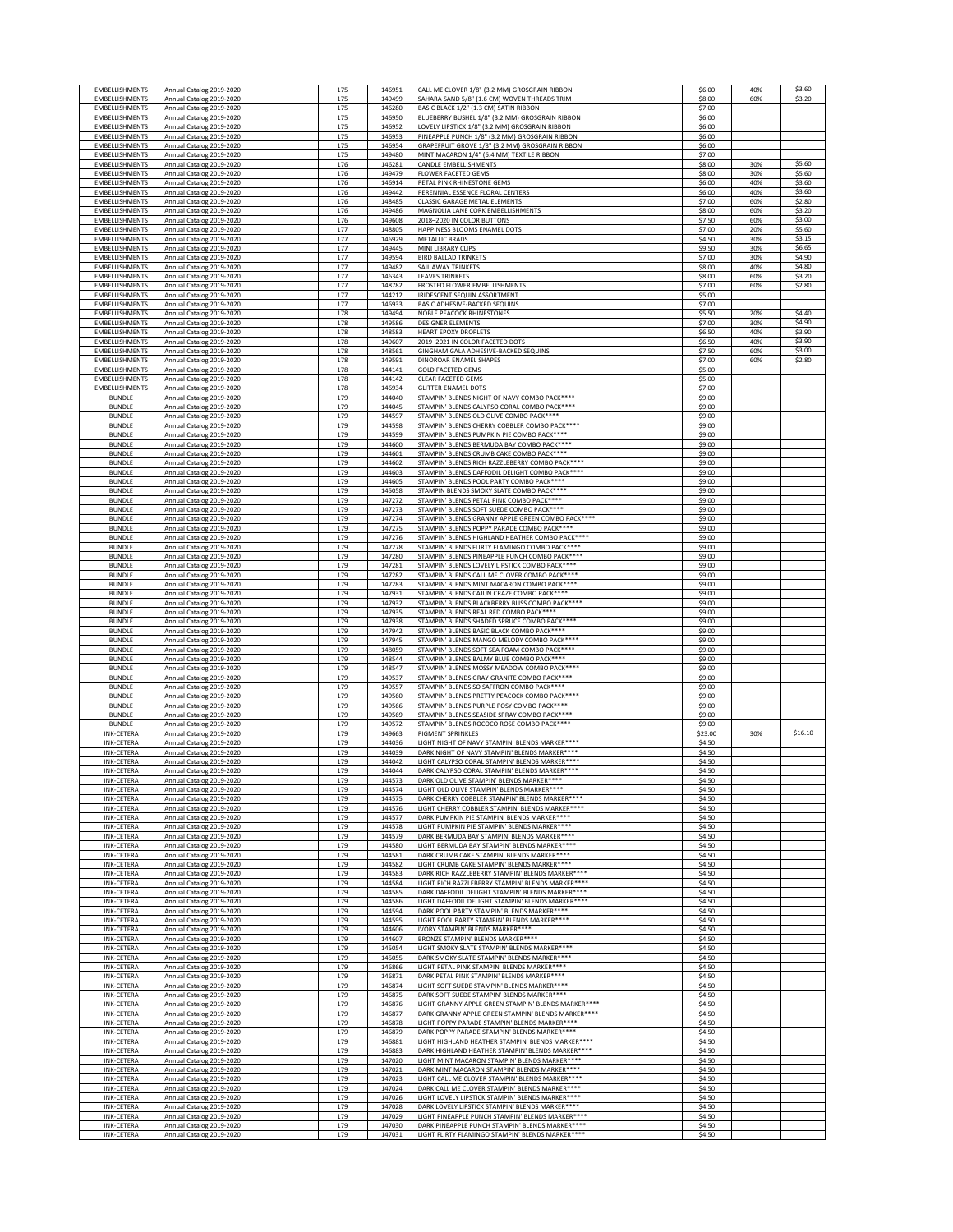| <b>EMBELLISHMENTS</b> | Annual Catalog 2019-2020 | 175 | 146951 | CALL ME CLOVER 1/8" (3.2 MM) GROSGRAIN RIBBON        | \$6.00  | 40% | \$3.60  |
|-----------------------|--------------------------|-----|--------|------------------------------------------------------|---------|-----|---------|
| EMBELLISHMENTS        | Annual Catalog 2019-2020 | 175 | 149499 | SAHARA SAND 5/8" (1.6 CM) WOVEN THREADS TRIM         | \$8.00  | 60% | \$3.20  |
| EMBELLISHMENTS        | Annual Catalog 2019-2020 | 175 | 146280 | BASIC BLACK 1/2" (1.3 CM) SATIN RIBBON               | \$7.00  |     |         |
| EMBELLISHMENTS        | Annual Catalog 2019-2020 | 175 | 146950 | BLUEBERRY BUSHEL 1/8" (3.2 MM) GROSGRAIN RIBBON      | \$6.00  |     |         |
| EMBELLISHMENTS        | Annual Catalog 2019-2020 | 175 | 146952 | LOVELY LIPSTICK 1/8" (3.2 MM) GROSGRAIN RIBBON       | \$6.00  |     |         |
| EMBELLISHMENTS        | Annual Catalog 2019-2020 | 175 | 146953 | PINEAPPLE PUNCH 1/8" (3.2 MM) GROSGRAIN RIBBON       | \$6.00  |     |         |
| EMBELLISHMENTS        | Annual Catalog 2019-2020 | 175 | 146954 | GRAPEFRUIT GROVE 1/8" (3.2 MM) GROSGRAIN RIBBON      | \$6.00  |     |         |
| EMBELLISHMENTS        | Annual Catalog 2019-2020 | 175 | 149480 | MINT MACARON 1/4" (6.4 MM) TEXTILE RIBBON            | \$7.00  |     |         |
| <b>EMBELLISHMENTS</b> | Annual Catalog 2019-2020 | 176 | 146281 | CANDLE EMBELLISHMENTS                                | \$8.00  | 30% | \$5.60  |
| EMBELLISHMENTS        | Annual Catalog 2019-2020 | 176 | 149479 | <b>FLOWER FACETED GEMS</b>                           | \$8.00  | 30% | \$5.60  |
| EMBELLISHMENTS        | Annual Catalog 2019-2020 | 176 | 146914 | PETAL PINK RHINESTONE GEMS                           | \$6.00  | 40% | \$3.60  |
| EMBELLISHMENTS        | Annual Catalog 2019-2020 | 176 | 149442 | PERENNIAL ESSENCE FLORAL CENTERS                     | \$6.00  | 40% | \$3.60  |
| EMBELLISHMENTS        | Annual Catalog 2019-2020 | 176 | 148485 | CLASSIC GARAGE METAL ELEMENTS                        | \$7.00  | 60% | \$2.80  |
| EMBELLISHMENTS        | Annual Catalog 2019-2020 | 176 | 149486 | MAGNOLIA LANE CORK EMBELLISHMENTS                    | \$8.00  | 60% | \$3.20  |
| EMBELLISHMENTS        | Annual Catalog 2019-2020 | 176 | 149608 | 2018-2020 IN COLOR BUTTONS                           | \$7.50  | 60% | \$3.00  |
| EMBELLISHMENTS        | Annual Catalog 2019-2020 | 177 | 148805 | HAPPINESS BLOOMS ENAMEL DOTS                         | \$7.00  | 20% | \$5.60  |
| EMBELLISHMENTS        | Annual Catalog 2019-2020 | 177 | 146929 | <b>METALLIC BRADS</b>                                | \$4.50  | 30% | \$3.15  |
| EMBELLISHMENTS        | Annual Catalog 2019-2020 | 177 | 149445 | MINI LIBRARY CLIPS                                   | \$9.50  | 30% | \$6.65  |
| EMBELLISHMENTS        | Annual Catalog 2019-2020 | 177 | 149594 | <b>BIRD BALLAD TRINKETS</b>                          | \$7.00  | 30% | \$4.90  |
| EMBELLISHMENTS        | Annual Catalog 2019-2020 | 177 | 149482 | SAIL AWAY TRINKETS                                   | \$8.00  | 40% | \$4.80  |
| EMBELLISHMENTS        | Annual Catalog 2019-2020 | 177 | 146343 | <b>LEAVES TRINKETS</b>                               | \$8.00  | 60% | \$3.20  |
| EMBELLISHMENTS        | Annual Catalog 2019-2020 | 177 | 148782 | FROSTED FLOWER EMBELLISHMENTS                        | \$7.00  | 60% | \$2.80  |
| EMBELLISHMENTS        | Annual Catalog 2019-2020 | 177 | 144212 | IRIDESCENT SEQUIN ASSORTMENT                         | \$5.00  |     |         |
| EMBELLISHMENTS        | Annual Catalog 2019-2020 | 177 | 146933 | BASIC ADHESIVE-BACKED SEQUINS                        | \$7.00  |     |         |
| EMBELLISHMENTS        | Annual Catalog 2019-2020 | 178 | 149494 | <b>NOBLE PEACOCK RHINESTONES</b>                     | \$5.50  | 20% | \$4.40  |
| EMBELLISHMENTS        | Annual Catalog 2019-2020 | 178 | 149586 | <b>DESIGNER ELEMENTS</b>                             | \$7.00  | 30% | \$4.90  |
| EMBELLISHMENTS        | Annual Catalog 2019-2020 | 178 | 148583 | <b>HEART EPOXY DROPLETS</b>                          | \$6.50  | 40% | \$3.90  |
| EMBELLISHMENTS        | Annual Catalog 2019-2020 | 178 | 149607 | 2019-2021 IN COLOR FACETED DOTS                      | \$6.50  | 40% | \$3.90  |
| EMBELLISHMENTS        | Annual Catalog 2019-2020 | 178 | 148561 | GINGHAM GALA ADHESIVE-BACKED SEQUINS                 | \$7.50  | 60% | \$3.00  |
| EMBELLISHMENTS        | Annual Catalog 2019-2020 | 178 | 149591 | DINOROAR ENAMEL SHAPES                               | \$7.00  | 60% | \$2.80  |
| EMBELLISHMENTS        | Annual Catalog 2019-2020 | 178 | 144141 | <b>GOLD FACETED GEMS</b>                             | \$5.00  |     |         |
| EMBELLISHMENTS        | Annual Catalog 2019-2020 | 178 | 144142 | CLEAR FACETED GEMS                                   | \$5.00  |     |         |
| <b>EMBELLISHMENTS</b> | Annual Catalog 2019-2020 | 178 | 146934 | <b>GLITTER ENAMEL DOTS</b>                           | \$7.00  |     |         |
| <b>BUNDLE</b>         | Annual Catalog 2019-2020 | 179 | 144040 | STAMPIN' BLENDS NIGHT OF NAVY COMBO PACK****         | \$9.00  |     |         |
| <b>BUNDLE</b>         | Annual Catalog 2019-2020 | 179 | 144045 | STAMPIN' BLENDS CALYPSO CORAL COMBO PACK****         | \$9.00  |     |         |
| <b>BUNDLE</b>         | Annual Catalog 2019-2020 | 179 | 144597 | STAMPIN' BLENDS OLD OLIVE COMBO PACK****             | \$9.00  |     |         |
| <b>BUNDLE</b>         | Annual Catalog 2019-2020 | 179 | 144598 | STAMPIN' BLENDS CHERRY COBBLER COMBO PACK****        | \$9.00  |     |         |
| <b>BUNDLE</b>         | Annual Catalog 2019-2020 | 179 | 144599 | STAMPIN' BLENDS PUMPKIN PIE COMBO PACK****           | \$9.00  |     |         |
| <b>BUNDLE</b>         | Annual Catalog 2019-2020 | 179 | 144600 | STAMPIN' BLENDS BERMUDA BAY COMBO PACK ****          | \$9.00  |     |         |
| <b>BUNDLE</b>         | Annual Catalog 2019-2020 | 179 | 144601 | STAMPIN' BLENDS CRUMB CAKE COMBO PACK****            | \$9.00  |     |         |
| <b>BUNDLE</b>         | Annual Catalog 2019-2020 | 179 | 144602 | STAMPIN' BLENDS RICH RAZZLEBERRY COMBO PACK****      | \$9.00  |     |         |
| <b>BUNDLE</b>         | Annual Catalog 2019-2020 | 179 | 144603 | STAMPIN' BLENDS DAFFODIL DELIGHT COMBO PACK ****     | \$9.00  |     |         |
| <b>BUNDLE</b>         | Annual Catalog 2019-2020 | 179 | 144605 | STAMPIN' BLENDS POOL PARTY COMBO PACK****            | \$9.00  |     |         |
| <b>BUNDLE</b>         | Annual Catalog 2019-2020 | 179 | 145058 | STAMPIN BLENDS SMOKY SLATE COMBO PACK****            | \$9.00  |     |         |
| <b>BUNDLE</b>         | Annual Catalog 2019-2020 | 179 | 147272 | STAMPIN' BLENDS PETAL PINK COMBO PACK****            | \$9.00  |     |         |
| <b>BUNDLE</b>         | Annual Catalog 2019-2020 | 179 | 147273 | STAMPIN' BLENDS SOFT SUEDE COMBO PACK ****           | \$9.00  |     |         |
| <b>BUNDLE</b>         | Annual Catalog 2019-2020 | 179 | 147274 | STAMPIN' BLENDS GRANNY APPLE GREEN COMBO PACK ****   | \$9.00  |     |         |
| <b>BUNDLE</b>         | Annual Catalog 2019-2020 | 179 | 147275 | STAMPIN' BLENDS POPPY PARADE COMBO PACK ****         | \$9.00  |     |         |
| <b>BUNDLE</b>         | Annual Catalog 2019-2020 | 179 | 147276 | STAMPIN' BLENDS HIGHLAND HEATHER COMBO PACK ****     | \$9.00  |     |         |
| <b>BUNDLE</b>         | Annual Catalog 2019-2020 | 179 | 147278 | STAMPIN' BLENDS FLIRTY FLAMINGO COMBO PACK ****      | \$9.00  |     |         |
| <b>BUNDLE</b>         | Annual Catalog 2019-2020 | 179 | 147280 | STAMPIN' BLENDS PINEAPPLE PUNCH COMBO PACK ****      | \$9.00  |     |         |
| <b>BUNDLE</b>         | Annual Catalog 2019-2020 | 179 | 147281 | STAMPIN' BLENDS LOVELY LIPSTICK COMBO PACK****       | \$9.00  |     |         |
| <b>BUNDLE</b>         | Annual Catalog 2019-2020 | 179 | 147282 | STAMPIN' BLENDS CALL ME CLOVER COMBO PACK ****       | \$9.00  |     |         |
| <b>BUNDLE</b>         | Annual Catalog 2019-2020 | 179 | 147283 | STAMPIN' BLENDS MINT MACARON COMBO PACK****          | \$9.00  |     |         |
| <b>BUNDLE</b>         | Annual Catalog 2019-2020 | 179 | 147931 | STAMPIN' BLENDS CAJUN CRAZE COMBO PACK****           | \$9.00  |     |         |
| <b>BUNDLE</b>         | Annual Catalog 2019-2020 | 179 | 147932 | STAMPIN' BLENDS BLACKBERRY BLISS COMBO PACK ****     | \$9.00  |     |         |
| <b>BUNDLE</b>         | Annual Catalog 2019-2020 | 179 | 147935 | STAMPIN' BLENDS REAL RED COMBO PACK****              | \$9.00  |     |         |
| <b>BUNDLE</b>         | Annual Catalog 2019-2020 | 179 | 147938 | STAMPIN' BLENDS SHADED SPRUCE COMBO PACK****         | \$9.00  |     |         |
| <b>BUNDLE</b>         | Annual Catalog 2019-2020 | 179 | 147942 | STAMPIN' BLENDS BASIC BLACK COMBO PACK****           | \$9.00  |     |         |
| <b>BUNDLE</b>         | Annual Catalog 2019-2020 | 179 | 147945 | STAMPIN' BLENDS MANGO MELODY COMBO PACK****          | \$9.00  |     |         |
| <b>BUNDLE</b>         | Annual Catalog 2019-2020 | 179 | 148059 | STAMPIN' BLENDS SOFT SEA FOAM COMBO PACK****         | \$9.00  |     |         |
| <b>BUNDLE</b>         | Annual Catalog 2019-2020 | 179 | 148544 | STAMPIN' BLENDS BALMY BLUE COMBO PACK ****           | \$9.00  |     |         |
| <b>BUNDLE</b>         | Annual Catalog 2019-2020 | 179 | 148547 | STAMPIN' BLENDS MOSSY MEADOW COMBO PACK****          | \$9.00  |     |         |
| <b>BUNDLE</b>         | Annual Catalog 2019-2020 | 179 | 149537 | STAMPIN' BLENDS GRAY GRANITE COMBO PACK****          | \$9.00  |     |         |
| <b>BUNDLE</b>         | Annual Catalog 2019-2020 | 179 | 149557 | STAMPIN' BLENDS SO SAFFRON COMBO PACK****            | \$9.00  |     |         |
| <b>BUNDLE</b>         | Annual Catalog 2019-2020 | 179 | 149560 | STAMPIN' BLENDS PRETTY PEACOCK COMBO PACK****        | \$9.00  |     |         |
| <b>BUNDLE</b>         | Annual Catalog 2019-2020 | 179 | 149566 | STAMPIN' BLENDS PURPLE POSY COMBO PACK****           | \$9.00  |     |         |
| <b>BUNDLE</b>         | Annual Catalog 2019-2020 | 179 | 149569 | STAMPIN' BLENDS SEASIDE SPRAY COMBO PACK ****        | \$9.00  |     |         |
| <b>BUNDLE</b>         | Annual Catalog 2019-2020 | 179 | 149572 | STAMPIN' BLENDS ROCOCO ROSE COMBO PACK ****          | \$9.00  |     |         |
| <b>INK-CETERA</b>     | Annual Catalog 2019-2020 | 179 | 149663 | PIGMENT SPRINKLES                                    | \$23.00 | 30% | \$16.10 |
| <b>INK-CETERA</b>     | Annual Catalog 2019-2020 | 179 | 144036 | LIGHT NIGHT OF NAVY STAMPIN' BLENDS MARKER****       | \$4.50  |     |         |
| <b>INK-CETERA</b>     | Annual Catalog 2019-2020 | 179 | 144039 | DARK NIGHT OF NAVY STAMPIN' BLENDS MARKER****        | \$4.50  |     |         |
| <b>INK-CETERA</b>     | Annual Catalog 2019-2020 | 179 | 144042 | LIGHT CALYPSO CORAL STAMPIN' BLENDS MARKER****       | \$4.50  |     |         |
| <b>INK-CETERA</b>     | Annual Catalog 2019-2020 | 179 | 144044 | DARK CALYPSO CORAL STAMPIN' BLENDS MARKER****        | \$4.50  |     |         |
| INK-LETEKA            | Annual Catalog 2019-2020 | 179 | 144573 | DARK OLD OLIVE STAMPIN' BLENDS MARKER                | 54.SU   |     |         |
| <b>INK-CETERA</b>     | Annual Catalog 2019-2020 | 179 | 144574 | LIGHT OLD OLIVE STAMPIN' BLENDS MARKER****           | \$4.50  |     |         |
| <b>INK-CETERA</b>     | Annual Catalog 2019-2020 | 179 | 144575 | DARK CHERRY COBBLER STAMPIN' BLENDS MARKER****       | \$4.50  |     |         |
| <b>INK-CETERA</b>     | Annual Catalog 2019-2020 | 179 | 144576 | LIGHT CHERRY COBBLER STAMPIN' BLENDS MARKER****      | \$4.50  |     |         |
| <b>INK-CETERA</b>     | Annual Catalog 2019-2020 | 179 | 144577 | DARK PUMPKIN PIE STAMPIN' BLENDS MARKER****          | \$4.50  |     |         |
| <b>INK-CETERA</b>     | Annual Catalog 2019-2020 | 179 | 144578 | LIGHT PUMPKIN PIE STAMPIN' BLENDS MARKER****         | \$4.50  |     |         |
| <b>INK-CETERA</b>     | Annual Catalog 2019-2020 | 179 | 144579 | DARK BERMUDA BAY STAMPIN' BLENDS MARKER****          | \$4.50  |     |         |
| <b>INK-CETERA</b>     | Annual Catalog 2019-2020 | 179 | 144580 | LIGHT BERMUDA BAY STAMPIN' BLENDS MARKER****         | \$4.50  |     |         |
| <b>INK-CETERA</b>     | Annual Catalog 2019-2020 | 179 | 144581 | DARK CRUMB CAKE STAMPIN' BLENDS MARKER****           | \$4.50  |     |         |
| <b>INK-CETERA</b>     | Annual Catalog 2019-2020 | 179 | 144582 | LIGHT CRUMB CAKE STAMPIN' BLENDS MARKER****          | \$4.50  |     |         |
| <b>INK-CETERA</b>     | Annual Catalog 2019-2020 | 179 | 144583 | DARK RICH RAZZLEBERRY STAMPIN' BLENDS MARKER****     | \$4.50  |     |         |
| <b>INK-CETERA</b>     | Annual Catalog 2019-2020 | 179 | 144584 | LIGHT RICH RAZZLEBERRY STAMPIN' BLENDS MARKER ****   | \$4.50  |     |         |
| <b>INK-CETERA</b>     | Annual Catalog 2019-2020 | 179 | 144585 | DARK DAFFODIL DELIGHT STAMPIN' BLENDS MARKER****     | \$4.50  |     |         |
| <b>INK-CETERA</b>     | Annual Catalog 2019-2020 | 179 | 144586 | LIGHT DAFFODIL DELIGHT STAMPIN' BLENDS MARKER****    | \$4.50  |     |         |
| <b>INK-CETERA</b>     | Annual Catalog 2019-2020 | 179 | 144594 | DARK POOL PARTY STAMPIN' BLENDS MARKER****           | \$4.50  |     |         |
| <b>INK-CETERA</b>     | Annual Catalog 2019-2020 | 179 | 144595 | LIGHT POOL PARTY STAMPIN' BLENDS MARKER****          | \$4.50  |     |         |
| <b>INK-CETERA</b>     | Annual Catalog 2019-2020 | 179 | 144606 | IVORY STAMPIN' BLENDS MARKER****                     | \$4.50  |     |         |
| <b>INK-CETERA</b>     | Annual Catalog 2019-2020 | 179 | 144607 | BRONZE STAMPIN' BLENDS MARKER****                    | \$4.50  |     |         |
| <b>INK-CETERA</b>     | Annual Catalog 2019-2020 | 179 | 145054 | LIGHT SMOKY SLATE STAMPIN' BLENDS MARKER****         | \$4.50  |     |         |
| <b>INK-CETERA</b>     | Annual Catalog 2019-2020 | 179 | 145055 | DARK SMOKY SLATE STAMPIN' BLENDS MARKER****          | \$4.50  |     |         |
| <b>INK-CETERA</b>     | Annual Catalog 2019-2020 | 179 | 146866 | LIGHT PETAL PINK STAMPIN' BLENDS MARKER****          | \$4.50  |     |         |
| <b>INK-CETERA</b>     | Annual Catalog 2019-2020 | 179 | 146871 | DARK PETAL PINK STAMPIN' BLENDS MARKER****           | \$4.50  |     |         |
| <b>INK-CETERA</b>     | Annual Catalog 2019-2020 | 179 | 146874 | LIGHT SOFT SUEDE STAMPIN' BLENDS MARKER****          | \$4.50  |     |         |
| <b>INK-CETERA</b>     | Annual Catalog 2019-2020 | 179 | 146875 | DARK SOFT SUEDE STAMPIN' BLENDS MARKER*****          | \$4.50  |     |         |
| <b>INK-CETERA</b>     | Annual Catalog 2019-2020 | 179 | 146876 | LIGHT GRANNY APPLE GREEN STAMPIN' BLENDS MARKER **** | \$4.50  |     |         |
| <b>INK-CETERA</b>     | Annual Catalog 2019-2020 | 179 | 146877 | DARK GRANNY APPLE GREEN STAMPIN' BLENDS MARKER****   | \$4.50  |     |         |
| <b>INK-CETERA</b>     | Annual Catalog 2019-2020 | 179 | 146878 | LIGHT POPPY PARADE STAMPIN' BLENDS MARKER****        | \$4.50  |     |         |
| <b>INK-CETERA</b>     | Annual Catalog 2019-2020 | 179 | 146879 | DARK POPPY PARADE STAMPIN' BLENDS MARKER****         | \$4.50  |     |         |
| <b>INK-CETERA</b>     | Annual Catalog 2019-2020 | 179 | 146881 | LIGHT HIGHLAND HEATHER STAMPIN' BLENDS MARKER****    | \$4.50  |     |         |
| <b>INK-CETERA</b>     | Annual Catalog 2019-2020 | 179 | 146883 | DARK HIGHLAND HEATHER STAMPIN' BLENDS MARKER****     | \$4.50  |     |         |
| <b>INK-CETERA</b>     | Annual Catalog 2019-2020 | 179 | 147020 | LIGHT MINT MACARON STAMPIN' BLENDS MARKER****        | \$4.50  |     |         |
| <b>INK-CETERA</b>     | Annual Catalog 2019-2020 | 179 | 147021 | DARK MINT MACARON STAMPIN' BLENDS MARKER****         | \$4.50  |     |         |
| <b>INK-CETERA</b>     | Annual Catalog 2019-2020 | 179 | 147023 | LIGHT CALL ME CLOVER STAMPIN' BLENDS MARKER****      | \$4.50  |     |         |
| <b>INK-CETERA</b>     | Annual Catalog 2019-2020 | 179 | 147024 | DARK CALL ME CLOVER STAMPIN' BLENDS MARKER****       | \$4.50  |     |         |
| <b>INK-CETERA</b>     | Annual Catalog 2019-2020 | 179 | 147026 | LIGHT LOVELY LIPSTICK STAMPIN' BLENDS MARKER****     | \$4.50  |     |         |
| <b>INK-CETERA</b>     | Annual Catalog 2019-2020 | 179 | 147028 | DARK LOVELY LIPSTICK STAMPIN' BLENDS MARKER****      | \$4.50  |     |         |
| <b>INK-CETERA</b>     | Annual Catalog 2019-2020 | 179 | 147029 | LIGHT PINEAPPLE PUNCH STAMPIN' BLENDS MARKER****     | \$4.50  |     |         |
| <b>INK-CETERA</b>     | Annual Catalog 2019-2020 | 179 | 147030 | DARK PINEAPPLE PUNCH STAMPIN' BLENDS MARKER****      | \$4.50  |     |         |
| INK-CETERA            | Annual Catalog 2019-2020 | 179 | 147031 | LIGHT FLIRTY FLAMINGO STAMPIN' BLENDS MARKER****     | \$4.50  |     |         |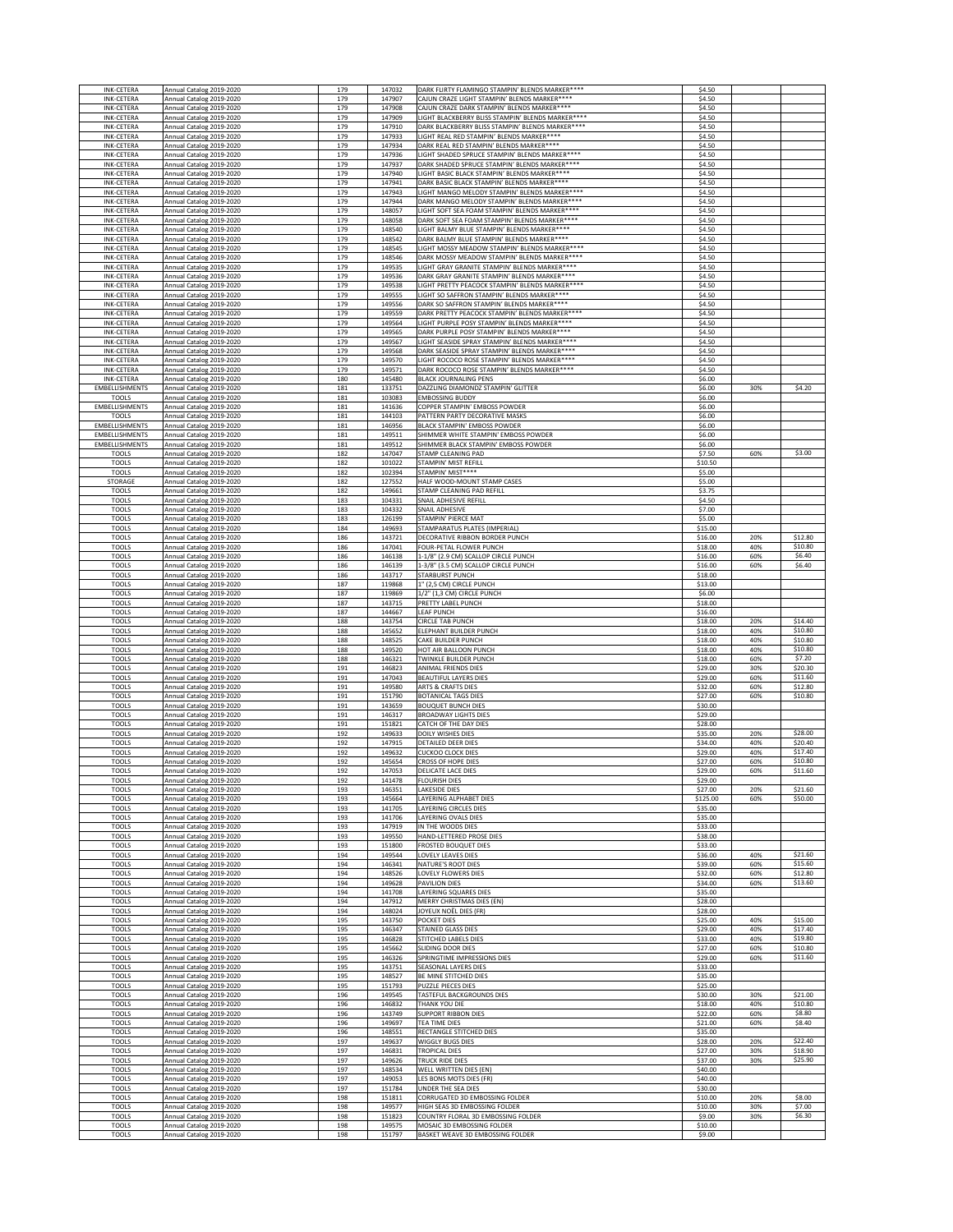| <b>INK-CETERA</b>                            | Annual Catalog 2019-2020                             | 179        | 147032                     | DARK FLIRTY FLAMINGO STAMPIN' BLENDS MARKER****                                                       | \$4.50                      |            |                    |
|----------------------------------------------|------------------------------------------------------|------------|----------------------------|-------------------------------------------------------------------------------------------------------|-----------------------------|------------|--------------------|
| <b>INK-CETERA</b>                            | Annual Catalog 2019-2020                             | 179        | 147907                     | CAJUN CRAZE LIGHT STAMPIN' BLENDS MARKER****                                                          | \$4.50                      |            |                    |
| INK-CETERA                                   | Annual Catalog 2019-2020                             | 179        | 147908                     | CAJUN CRAZE DARK STAMPIN' BLENDS MARKER****                                                           | \$4.50                      |            |                    |
| <b>INK-CETERA</b>                            | Annual Catalog 2019-2020                             | 179        | 147909                     | LIGHT BLACKBERRY BLISS STAMPIN' BLENDS MARKER****<br>DARK BLACKBERRY BLISS STAMPIN' BLENDS MARKER**** | \$4.50<br>\$4.50            |            |                    |
| <b>INK-CETERA</b><br><b>INK-CETERA</b>       | Annual Catalog 2019-2020<br>Annual Catalog 2019-2020 | 179<br>179 | 147910<br>147933           | LIGHT REAL RED STAMPIN' BLENDS MARKER****                                                             | \$4.50                      |            |                    |
| <b>INK-CETERA</b>                            | Annual Catalog 2019-2020                             | 179        | 147934                     | DARK REAL RED STAMPIN' BLENDS MARKER****                                                              | \$4.50                      |            |                    |
| <b>INK-CETERA</b>                            | Annual Catalog 2019-2020                             | 179        | 147936                     | LIGHT SHADED SPRUCE STAMPIN' BLENDS MARKER****                                                        | \$4.50                      |            |                    |
| <b>INK-CETERA</b>                            | Annual Catalog 2019-2020                             | 179        | 147937                     | DARK SHADED SPRUCE STAMPIN' BLENDS MARKER****                                                         | \$4.50                      |            |                    |
| <b>INK-CETERA</b>                            | Annual Catalog 2019-2020                             | 179        | 147940                     | LIGHT BASIC BLACK STAMPIN' BLENDS MARKER****<br>DARK BASIC BLACK STAMPIN' BLENDS MARKER****           | \$4.50<br>\$4.50            |            |                    |
| <b>INK-CETERA</b><br><b>INK-CETERA</b>       | Annual Catalog 2019-2020<br>Annual Catalog 2019-2020 | 179<br>179 | 147941<br>147943           | LIGHT MANGO MELODY STAMPIN' BLENDS MARKER****                                                         | \$4.50                      |            |                    |
| <b>INK-CETERA</b>                            | Annual Catalog 2019-2020                             | 179        | 147944                     | DARK MANGO MELODY STAMPIN' BLENDS MARKER****                                                          | \$4.50                      |            |                    |
| <b>INK-CETERA</b>                            | Annual Catalog 2019-2020                             | 179        | 148057                     | LIGHT SOFT SEA FOAM STAMPIN' BLENDS MARKER****                                                        | \$4.50                      |            |                    |
| <b>INK-CETERA</b>                            | Annual Catalog 2019-2020                             | 179        | 148058                     | DARK SOFT SEA FOAM STAMPIN' BLENDS MARKER ****                                                        | \$4.50                      |            |                    |
| <b>INK-CETERA</b><br><b>INK-CETERA</b>       | Annual Catalog 2019-2020<br>Annual Catalog 2019-2020 | 179<br>179 | 148540<br>148542           | LIGHT BALMY BLUE STAMPIN' BLENDS MARKER****<br>DARK BALMY BLUE STAMPIN' BLENDS MARKER****             | \$4.50<br>\$4.50            |            |                    |
| <b>INK-CETERA</b>                            | Annual Catalog 2019-2020                             | 179        | 148545                     | LIGHT MOSSY MEADOW STAMPIN' BLENDS MARKER****                                                         | \$4.50                      |            |                    |
| <b>INK-CETERA</b>                            | Annual Catalog 2019-2020                             | 179        | 148546                     | DARK MOSSY MEADOW STAMPIN' BLENDS MARKER ****                                                         | \$4.50                      |            |                    |
| <b>INK-CETERA</b>                            | Annual Catalog 2019-2020                             | 179        | 149535                     | LIGHT GRAY GRANITE STAMPIN' BLENDS MARKER****                                                         | \$4.50                      |            |                    |
| <b>INK-CETERA</b>                            | Annual Catalog 2019-2020                             | 179        | 149536                     | DARK GRAY GRANITE STAMPIN' BLENDS MARKER****<br>LIGHT PRETTY PEACOCK STAMPIN' BLENDS MARKER ****      | \$4.50<br>\$4.50            |            |                    |
| <b>INK-CETERA</b><br><b>INK-CETERA</b>       | Annual Catalog 2019-2020<br>Annual Catalog 2019-2020 | 179<br>179 | 149538<br>149555           | LIGHT SO SAFFRON STAMPIN' BLENDS MARKER****                                                           | \$4.50                      |            |                    |
| <b>INK-CETERA</b>                            | Annual Catalog 2019-2020                             | 179        | 149556                     | DARK SO SAFFRON STAMPIN' BLENDS MARKER****                                                            | \$4.50                      |            |                    |
| <b>INK-CETERA</b>                            | Annual Catalog 2019-2020                             | 179        | 149559                     | DARK PRETTY PEACOCK STAMPIN' BLENDS MARKER****                                                        | \$4.50                      |            |                    |
| <b>INK-CETERA</b>                            | Annual Catalog 2019-2020                             | 179<br>179 | 149564<br>149565           | LIGHT PURPLE POSY STAMPIN' BLENDS MARKER****<br>DARK PURPLE POSY STAMPIN' BLENDS MARKER****           | \$4.50<br>\$4.50            |            |                    |
| <b>INK-CETERA</b><br><b>INK-CETERA</b>       | Annual Catalog 2019-2020<br>Annual Catalog 2019-2020 | 179        | 149567                     | LIGHT SEASIDE SPRAY STAMPIN' BLENDS MARKER****                                                        | \$4.50                      |            |                    |
| <b>INK-CETERA</b>                            | Annual Catalog 2019-2020                             | 179        | 149568                     | DARK SEASIDE SPRAY STAMPIN' BLENDS MARKER****                                                         | \$4.50                      |            |                    |
| <b>INK-CETERA</b>                            | Annual Catalog 2019-2020                             | 179        | 149570                     | LIGHT ROCOCO ROSE STAMPIN' BLENDS MARKER****                                                          | \$4.50                      |            |                    |
| INK-CETERA<br>INK-CETERA                     | Annual Catalog 2019-2020<br>Annual Catalog 2019-2020 | 179<br>180 | 149571<br>145480           | DARK ROCOCO ROSE STAMPIN' BLENDS MARKER****<br><b>BLACK JOURNALING PENS</b>                           | \$4.50<br>\$6.00            |            |                    |
| <b>EMBELLISHMENTS</b>                        | Annual Catalog 2019-2020                             | 181        | 133751                     | DAZZLING DIAMONDZ STAMPIN' GLITTER                                                                    | \$6.00                      | 30%        | \$4.20             |
| <b>TOOLS</b>                                 | Annual Catalog 2019-2020                             | 181        | 103083                     | <b>EMBOSSING BUDDY</b>                                                                                | \$6.00                      |            |                    |
| EMBELLISHMENTS                               | Annual Catalog 2019-2020                             | 181        | 141636<br>144103           | COPPER STAMPIN' EMBOSS POWDER<br>PATTERN PARTY DECORATIVE MASKS                                       | \$6.00<br>\$6.00            |            |                    |
| <b>TOOLS</b><br>EMBELLISHMENTS               | Annual Catalog 2019-2020<br>Annual Catalog 2019-2020 | 181<br>181 | 146956                     | BLACK STAMPIN' EMBOSS POWDER                                                                          | \$6.00                      |            |                    |
| <b>EMBELLISHMENTS</b>                        | Annual Catalog 2019-2020                             | 181        | 149511                     | SHIMMER WHITE STAMPIN' EMBOSS POWDER                                                                  | \$6.00                      |            |                    |
| EMBELLISHMENTS                               | Annual Catalog 2019-2020                             | 181        | 149512                     | SHIMMER BLACK STAMPIN' EMBOSS POWDER                                                                  | \$6.00                      |            |                    |
| <b>TOOLS</b><br><b>TOOLS</b>                 | Annual Catalog 2019-2020<br>Annual Catalog 2019-2020 | 182<br>182 | 147047<br>101022           | STAMP CLEANING PAD<br>STAMPIN' MIST REFILL                                                            | \$7.50<br>\$10.50           | 60%        | \$3.00             |
| <b>TOOLS</b>                                 | Annual Catalog 2019-2020                             | 182        | 102394                     | STAMPIN' MIST****                                                                                     | \$5.00                      |            |                    |
| STORAGE                                      | Annual Catalog 2019-2020                             | 182        | 127552                     | HALF WOOD-MOUNT STAMP CASES                                                                           | \$5.00                      |            |                    |
| <b>TOOLS</b>                                 | Annual Catalog 2019-2020                             | 182        | 149661                     | STAMP CLEANING PAD REFILL                                                                             | \$3.75                      |            |                    |
| <b>TOOLS</b><br><b>TOOLS</b>                 | Annual Catalog 2019-2020<br>Annual Catalog 2019-2020 | 183<br>183 | 104331<br>104332           | SNAIL ADHESIVE REFILL<br>SNAIL ADHESIVE                                                               | \$4.50<br>\$7.00            |            |                    |
| <b>TOOLS</b>                                 | Annual Catalog 2019-2020                             | 183        | 126199                     | STAMPIN' PIERCE MAT                                                                                   | \$5.00                      |            |                    |
| <b>TOOLS</b>                                 | Annual Catalog 2019-2020                             | 184        | 149693                     | STAMPARATUS PLATES (IMPERIAL                                                                          | \$15.00                     |            |                    |
| <b>TOOLS</b>                                 | Annual Catalog 2019-2020                             | 186        | 143721                     | DECORATIVE RIBBON BORDER PUNCH                                                                        | \$16.00                     | 20%        | \$12.80            |
| <b>TOOLS</b><br><b>TOOLS</b>                 | Annual Catalog 2019-2020<br>Annual Catalog 2019-2020 | 186<br>186 | 147041<br>146138           | FOUR-PETAL FLOWER PUNCH<br>1-1/8" (2.9 CM) SCALLOP CIRCLE PUNCH                                       | \$18.00<br>\$16.00          | 40%<br>60% | \$10.80<br>\$6.40  |
| <b>TOOLS</b>                                 | Annual Catalog 2019-2020                             | 186        | 146139                     | 1-3/8" (3.5 CM) SCALLOP CIRCLE PUNCH                                                                  | \$16.00                     | 60%        | \$6.40             |
| <b>TOOLS</b>                                 | Annual Catalog 2019-2020                             | 186        | 143717                     | STARBURST PUNCH                                                                                       | \$18.00                     |            |                    |
| <b>TOOLS</b>                                 | Annual Catalog 2019-2020                             | 187        | 119868                     | 1" (2,5 CM) CIRCLE PUNCH                                                                              | \$13.00                     |            |                    |
| <b>TOOLS</b><br><b>TOOLS</b>                 | Annual Catalog 2019-2020<br>Annual Catalog 2019-2020 | 187<br>187 | 119869<br>143715           | 1/2" (1,3 CM) CIRCLE PUNCH<br>PRETTY LABEL PUNCH                                                      | \$6.00<br>\$18.00           |            |                    |
| <b>TOOLS</b>                                 | Annual Catalog 2019-2020                             | 187        | 144667                     | LEAF PUNCH                                                                                            | \$16.00                     |            |                    |
| <b>TOOLS</b>                                 | Annual Catalog 2019-2020                             | 188        | 143754                     | CIRCLE TAB PUNCH                                                                                      | \$18.00                     | 20%        | \$14.40            |
| <b>TOOLS</b>                                 | Annual Catalog 2019-2020                             | 188        | 145652                     | ELEPHANT BUILDER PUNCH                                                                                | \$18.00                     | 40%        | \$10.80<br>\$10.80 |
| <b>TOOLS</b><br><b>TOOLS</b>                 | Annual Catalog 2019-2020<br>Annual Catalog 2019-2020 | 188<br>188 | 148525<br>149520           | CAKE BUILDER PUNCH<br>HOT AIR BALLOON PUNCH                                                           | \$18.00<br>\$18.00          | 40%<br>40% | \$10.80            |
|                                              |                                                      |            |                            | TWINKLE BUILDER PUNCH                                                                                 |                             |            |                    |
| <b>TOOLS</b>                                 | Annual Catalog 2019-2020                             | 188        | 146321                     |                                                                                                       | \$18.00                     | 60%        | \$7.20             |
| <b>TOOLS</b>                                 | Annual Catalog 2019-2020                             | 191        | 146823                     | ANIMAL FRIENDS DIES                                                                                   | \$29.00                     | 30%        | \$20.30            |
| <b>TOOLS</b>                                 | Annual Catalog 2019-2020                             | 191        | 147043                     | <b>BEAUTIFUL LAYERS DIES</b>                                                                          | \$29.00                     | 60%        | \$11.60            |
| <b>TOOLS</b>                                 | Annual Catalog 2019-2020                             | 191        | 149580                     | ARTS & CRAFTS DIES                                                                                    | \$32.00                     | 60%        | \$12.80            |
| <b>TOOLS</b><br><b>TOOLS</b>                 | Annual Catalog 2019-2020<br>Annual Catalog 2019-2020 | 191<br>191 | 151790<br>143659           | <b>BOTANICAL TAGS DIES</b><br><b>BOUQUET BUNCH DIES</b>                                               | \$27.00<br>\$30.00          | 60%        | \$10.80            |
| <b>TOOLS</b>                                 | Annual Catalog 2019-2020                             | 191        | 146317                     | <b>BROADWAY LIGHTS DIES</b>                                                                           | \$29.00                     |            |                    |
| <b>TOOLS</b>                                 | Annual Catalog 2019-2020                             | 191        | 151821                     | CATCH OF THE DAY DIES                                                                                 | \$28.00                     |            |                    |
| <b>TOOLS</b>                                 | Annual Catalog 2019-2020<br>Annual Catalog 2019-2020 | 192        | 149633                     | DOILY WISHES DIES                                                                                     | \$35.00                     | 20%<br>40% | \$28.00<br>\$20.40 |
| <b>TOOLS</b><br><b>TOOLS</b>                 | Annual Catalog 2019-2020                             | 192<br>192 | 147915<br>149632           | DETAILED DEER DIES<br><b>CUCKOO CLOCK DIES</b>                                                        | \$34.00<br>\$29.00          | 40%        | \$17.40            |
| <b>TOOLS</b>                                 | Annual Catalog 2019-2020                             | 192        | 145654                     | CROSS OF HOPE DIES                                                                                    | \$27.00                     | 60%        | \$10.80            |
| <b>TOOLS</b>                                 | Annual Catalog 2019-2020                             | 192        | 147053                     | DELICATE LACE DIES                                                                                    | \$29.00                     | 60%        | \$11.60            |
| <b>TOOLS</b>                                 | Annual Catalog 2019-2020<br>Annual Catalog 2019-2020 | 193        | 41478<br>146351            | <b>FLOURISH DIES</b><br>LAKESIDE DIES                                                                 | \$29.00<br>\$27.00          | 20%        | \$21.60            |
| <b>TOOLS</b>                                 | Annual Catalog 2019-2020                             | 193        | 145664                     | LAYERING ALPHABET DIES                                                                                | \$125.00                    | 60%        | \$50.00            |
| <b>TOOLS</b>                                 | Annual Catalog 2019-2020                             | 193        | 141705                     | LAYERING CIRCLES DIES                                                                                 | \$35.00                     |            |                    |
| <b>TOOLS</b>                                 | Annual Catalog 2019-2020                             | 193        | 141706                     | LAYERING OVALS DIES<br>IN THE WOODS DIES                                                              | \$35.00                     |            |                    |
| <b>TOOLS</b><br><b>TOOLS</b>                 | Annual Catalog 2019-2020<br>Annual Catalog 2019-2020 | 193<br>193 | 147919<br>149550           | HAND-LETTERED PROSE DIES                                                                              | \$33.00<br>\$38.00          |            |                    |
| <b>TOOLS</b>                                 | Annual Catalog 2019-2020                             | 193        | 151800                     | <b>FROSTED BOUQUET DIES</b>                                                                           | \$33.00                     |            |                    |
| <b>TOOLS</b>                                 | Annual Catalog 2019-2020                             | 194        | 149544                     | LOVELY LEAVES DIES                                                                                    | \$36.00                     | 40%        | \$21.60            |
| <b>TOOLS</b><br><b>TOOLS</b>                 | Annual Catalog 2019-2020<br>Annual Catalog 2019-2020 | 194<br>194 | 146341<br>148526           | NATURE'S ROOT DIES<br>LOVELY FLOWERS DIES                                                             | \$39.00<br>\$32.00          | 60%<br>60% | \$15.60<br>\$12.80 |
| <b>TOOLS</b>                                 | Annual Catalog 2019-2020                             | 194        | 149628                     | PAVILION DIES                                                                                         | \$34.00                     | 60%        | \$13.60            |
| <b>TOOLS</b>                                 | Annual Catalog 2019-2020                             | 194        | 141708                     | LAYERING SQUARES DIES                                                                                 | \$35.00                     |            |                    |
| <b>TOOLS</b>                                 | Annual Catalog 2019-2020                             | 194        | 147912                     | MERRY CHRISTMAS DIES (EN)                                                                             | \$28.00                     |            |                    |
| <b>TOOLS</b><br><b>TOOLS</b>                 | Annual Catalog 2019-2020<br>Annual Catalog 2019-2020 | 194<br>195 | 148024<br>143750           | JOYEUX NOËL DIES (FR)<br>POCKET DIES                                                                  | \$28.00<br>\$25.00          | 40%        | \$15.00            |
| <b>TOOLS</b>                                 | Annual Catalog 2019-2020                             | 195        | 146347                     | STAINED GLASS DIES                                                                                    | \$29.00                     | 40%        | \$17.40            |
| <b>TOOLS</b>                                 | Annual Catalog 2019-2020                             | 195        | 146828                     | STITCHED LABELS DIES                                                                                  | \$33.00                     | 40%        | \$19.80            |
| <b>TOOLS</b><br><b>TOOLS</b>                 | Annual Catalog 2019-2020<br>Annual Catalog 2019-2020 | 195<br>195 | 145662<br>146326           | SLIDING DOOR DIES<br>SPRINGTIME IMPRESSIONS DIES                                                      | \$27.00<br>\$29.00          | 60%<br>60% | \$10.80<br>\$11.60 |
| <b>TOOLS</b>                                 | Annual Catalog 2019-2020                             | 195        | 143751                     | SEASONAL LAYERS DIES                                                                                  | \$33.00                     |            |                    |
| <b>TOOLS</b>                                 | Annual Catalog 2019-2020                             | 195        | 148527                     | BE MINE STITCHED DIES                                                                                 | \$35.00                     |            |                    |
| <b>TOOLS</b>                                 | Annual Catalog 2019-2020                             | 195        | 151793                     | PUZZLE PIECES DIES                                                                                    | \$25.00                     |            |                    |
| <b>TOOLS</b><br><b>TOOLS</b>                 | Annual Catalog 2019-2020<br>Annual Catalog 2019-2020 | 196<br>196 | 149545<br>146832           | TASTEFUL BACKGROUNDS DIES<br>THANK YOU DIE                                                            | \$30.00<br>\$18.00          | 30%<br>40% | \$21.00<br>\$10.80 |
| <b>TOOLS</b>                                 | Annual Catalog 2019-2020                             | 196        | 143749                     | SUPPORT RIBBON DIES                                                                                   | \$22.00                     | 60%        | \$8.80             |
| <b>TOOLS</b>                                 | Annual Catalog 2019-2020                             | 196        | 149697                     | TEA TIME DIES                                                                                         | \$21.00                     | 60%        | \$8.40             |
| <b>TOOLS</b><br><b>TOOLS</b>                 | Annual Catalog 2019-2020<br>Annual Catalog 2019-2020 | 196<br>197 | 148551<br>149637           | RECTANGLE STITCHED DIES<br>WIGGLY BUGS DIES                                                           | \$35.00<br>\$28.00          | 20%        | \$22.40            |
| <b>TOOLS</b>                                 | Annual Catalog 2019-2020                             | 197        | 146831                     | <b>TROPICAL DIES</b>                                                                                  | \$27.00                     | 30%        | \$18.90            |
| <b>TOOLS</b>                                 | Annual Catalog 2019-2020                             | 197        | 149626                     | TRUCK RIDE DIES                                                                                       | \$37.00                     | 30%        | \$25.90            |
| <b>TOOLS</b>                                 | Annual Catalog 2019-2020                             | 197        | 148534                     | WELL WRITTEN DIES (EN)                                                                                | \$40.00                     |            |                    |
| <b>TOOLS</b><br><b>TOOLS</b>                 | Annual Catalog 2019-2020<br>Annual Catalog 2019-2020 | 197<br>197 | 149053<br>151784           | LES BONS MOTS DIES (FR)<br>UNDER THE SEA DIES                                                         | \$40.00<br>\$30.00          |            |                    |
| <b>TOOLS</b>                                 | Annual Catalog 2019-2020                             | 198        | 151811                     | CORRUGATED 3D EMBOSSING FOLDER                                                                        | \$10.00                     | 20%        | \$8.00             |
| <b>TOOLS</b>                                 | Annual Catalog 2019-2020                             | 198        | 149577                     | HIGH SEAS 3D EMBOSSING FOLDER                                                                         | \$10.00                     | 30%        | \$7.00             |
| <b>TOOLS</b><br><b>TOOLS</b><br><b>TOOLS</b> | Annual Catalog 2019-2020<br>Annual Catalog 2019-2020 | 198<br>198 | 151823<br>149575<br>151797 | COUNTRY FLORAL 3D EMBOSSING FOLDER<br>MOSAIC 3D EMBOSSING FOLDER                                      | \$9.00<br>\$10.00<br>\$9.00 | 30%        | \$6.30             |